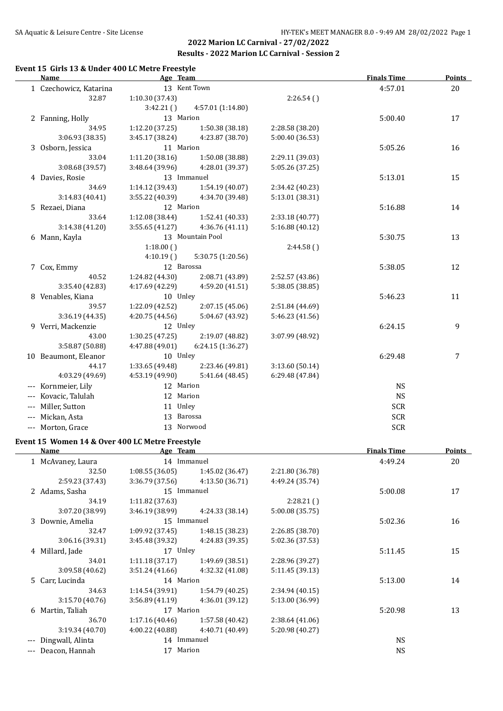#### **Event 15 Girls 13 & Under 400 LC Metre Freestyle**

|       | <b>Name</b>            | Age Team        |                   |                 | <b>Finals Time</b> | <b>Points</b> |
|-------|------------------------|-----------------|-------------------|-----------------|--------------------|---------------|
|       | 1 Czechowicz, Katarina |                 | 13 Kent Town      |                 | 4:57.01            | 20            |
|       | 32.87                  | 1:10.30 (37.43) |                   | 2:26.54()       |                    |               |
|       |                        | 3:42.21()       | 4:57.01 (1:14.80) |                 |                    |               |
|       | 2 Fanning, Holly       | 13 Marion       |                   |                 | 5:00.40            | 17            |
|       | 34.95                  | 1:12.20 (37.25) | 1:50.38 (38.18)   | 2:28.58 (38.20) |                    |               |
|       | 3:06.93 (38.35)        | 3:45.17 (38.24) | 4:23.87 (38.70)   | 5:00.40 (36.53) |                    |               |
|       | 3 Osborn, Jessica      | 11 Marion       |                   |                 | 5:05.26            | 16            |
|       | 33.04                  | 1:11.20(38.16)  | 1:50.08 (38.88)   | 2:29.11 (39.03) |                    |               |
|       | 3:08.68 (39.57)        | 3:48.64(39.96)  | 4:28.01 (39.37)   | 5:05.26 (37.25) |                    |               |
|       | 4 Davies, Rosie        |                 | 13 Immanuel       |                 | 5:13.01            | 15            |
|       | 34.69                  | 1:14.12 (39.43) | 1:54.19 (40.07)   | 2:34.42 (40.23) |                    |               |
|       | 3:14.83(40.41)         | 3:55.22 (40.39) | 4:34.70 (39.48)   | 5:13.01 (38.31) |                    |               |
|       | 5 Rezaei, Diana        | 12 Marion       |                   |                 | 5:16.88            | 14            |
|       | 33.64                  | 1:12.08(38.44)  | 1:52.41 (40.33)   | 2:33.18 (40.77) |                    |               |
|       | 3:14.38 (41.20)        | 3:55.65(41.27)  | 4:36.76 (41.11)   | 5:16.88(40.12)  |                    |               |
|       | 6 Mann, Kayla          |                 | 13 Mountain Pool  |                 | 5:30.75            | 13            |
|       |                        | 1:18.00()       |                   | 2:44.58()       |                    |               |
|       |                        | 4:10.19()       | 5:30.75 (1:20.56) |                 |                    |               |
|       | 7 Cox, Emmy            | 12 Barossa      |                   |                 | 5:38.05            | 12            |
|       | 40.52                  | 1:24.82(44.30)  | 2:08.71 (43.89)   | 2:52.57 (43.86) |                    |               |
|       | 3:35.40 (42.83)        | 4:17.69 (42.29) | 4:59.20 (41.51)   | 5:38.05 (38.85) |                    |               |
|       | 8 Venables, Kiana      | 10 Unley        |                   |                 | 5:46.23            | 11            |
|       | 39.57                  | 1:22.09 (42.52) | 2:07.15 (45.06)   | 2:51.84 (44.69) |                    |               |
|       | 3:36.19 (44.35)        | 4:20.75 (44.56) | 5:04.67 (43.92)   | 5:46.23 (41.56) |                    |               |
|       | 9 Verri, Mackenzie     | 12 Unley        |                   |                 | 6:24.15            | 9             |
|       | 43.00                  | 1:30.25 (47.25) | 2:19.07 (48.82)   | 3:07.99 (48.92) |                    |               |
|       | 3:58.87 (50.88)        | 4:47.88 (49.01) | 6:24.15 (1:36.27) |                 |                    |               |
|       | 10 Beaumont, Eleanor   | 10 Unley        |                   |                 | 6:29.48            | 7             |
|       | 44.17                  | 1:33.65 (49.48) | 2:23.46 (49.81)   | 3:13.60(50.14)  |                    |               |
|       | 4:03.29 (49.69)        | 4:53.19 (49.90) | 5:41.64 (48.45)   | 6:29.48 (47.84) |                    |               |
| $---$ | Kornmeier, Lily        | 12 Marion       |                   |                 | <b>NS</b>          |               |
|       | Kovacic, Talulah       | 12 Marion       |                   |                 | <b>NS</b>          |               |
| ---   | Miller, Sutton         | 11 Unley        |                   |                 | <b>SCR</b>         |               |
|       | Mickan, Asta           | 13 Barossa      |                   |                 | <b>SCR</b>         |               |
|       | --- Morton, Grace      |                 | 13 Norwood        |                 | <b>SCR</b>         |               |

# **Event 15 Women 14 & Over 400 LC Metre Freestyle**

|     | <b>Name</b>       | Age Team        |                 |                 | <b>Finals Time</b> | <b>Points</b> |
|-----|-------------------|-----------------|-----------------|-----------------|--------------------|---------------|
|     | 1 McAvaney, Laura | 14 Immanuel     |                 |                 | 4:49.24            | 20            |
|     | 32.50             | 1:08.55(36.05)  | 1:45.02 (36.47) | 2:21.80 (36.78) |                    |               |
|     | 2:59.23 (37.43)   | 3:36.79(37.56)  | 4:13.50 (36.71) | 4:49.24 (35.74) |                    |               |
|     | 2 Adams, Sasha    | 15 Immanuel     |                 |                 | 5:00.08            | 17            |
|     | 34.19             | 1:11.82(37.63)  |                 | 2:28.21(        |                    |               |
|     | 3:07.20 (38.99)   | 3:46.19 (38.99) | 4:24.33 (38.14) | 5:00.08 (35.75) |                    |               |
|     | 3 Downie, Amelia  | 15 Immanuel     |                 |                 | 5:02.36            | 16            |
|     | 32.47             | 1:09.92(37.45)  | 1:48.15(38.23)  | 2:26.85 (38.70) |                    |               |
|     | 3:06.16 (39.31)   | 3:45.48 (39.32) | 4:24.83 (39.35) | 5:02.36 (37.53) |                    |               |
|     | 4 Millard, Jade   | 17 Unley        |                 |                 | 5:11.45            | 15            |
|     | 34.01             | 1:11.18(37.17)  | 1:49.69 (38.51) | 2:28.96 (39.27) |                    |               |
|     | 3:09.58(40.62)    | 3:51.24(41.66)  | 4:32.32 (41.08) | 5:11.45 (39.13) |                    |               |
|     | 5 Carr, Lucinda   | 14 Marion       |                 |                 | 5:13.00            | 14            |
|     | 34.63             | 1:14.54(39.91)  | 1:54.79(40.25)  | 2:34.94(40.15)  |                    |               |
|     | 3:15.70(40.76)    | 3:56.89(41.19)  | 4:36.01 (39.12) | 5:13.00 (36.99) |                    |               |
|     | 6 Martin, Taliah  | 17 Marion       |                 |                 | 5:20.98            | 13            |
|     | 36.70             | 1:17.16(40.46)  | 1:57.58 (40.42) | 2:38.64(41.06)  |                    |               |
|     | 3:19.34(40.70)    | 4:00.22(40.88)  | 4:40.71 (40.49) | 5:20.98 (40.27) |                    |               |
| --- | Dingwall, Alinta  | 14 Immanuel     |                 |                 | <b>NS</b>          |               |
|     | Deacon, Hannah    | Marion<br>17    |                 |                 | <b>NS</b>          |               |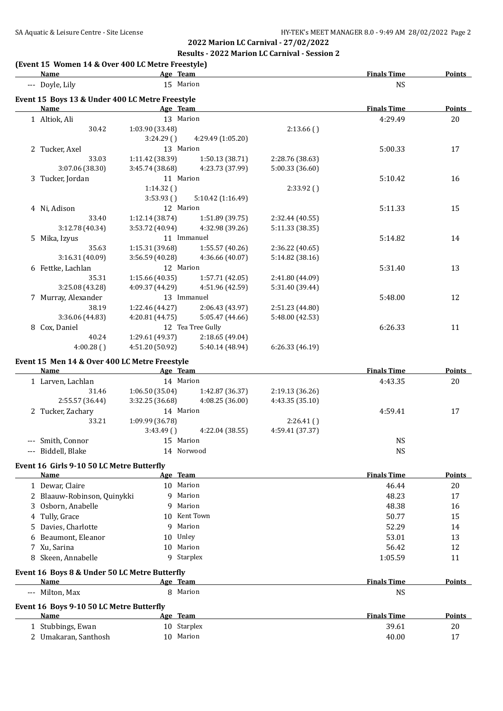#### **(Event 15 Women 14 & Over 400 LC Metre Freestyle)**

|   | <b>Name</b>                                     | Age Team        |                   |                 | <b>Finals Time</b> | <b>Points</b> |
|---|-------------------------------------------------|-----------------|-------------------|-----------------|--------------------|---------------|
|   | --- Doyle, Lily                                 | 15 Marion       |                   |                 | <b>NS</b>          |               |
|   | Event 15 Boys 13 & Under 400 LC Metre Freestyle |                 |                   |                 |                    |               |
|   | Name                                            | Age Team        |                   |                 | <b>Finals Time</b> | <b>Points</b> |
|   | 1 Altiok, Ali                                   | 13 Marion       |                   |                 | 4:29.49            | 20            |
|   | 30.42                                           | 1:03.90 (33.48) |                   | 2:13.66()       |                    |               |
|   |                                                 | 3:24.29(        | 4:29.49 (1:05.20) |                 |                    |               |
|   | 2 Tucker, Axel                                  | 13 Marion       |                   |                 | 5:00.33            | 17            |
|   | 33.03                                           | 1:11.42 (38.39) | 1:50.13(38.71)    | 2:28.76 (38.63) |                    |               |
|   | 3:07.06 (38.30)                                 | 3:45.74(38.68)  | 4:23.73 (37.99)   | 5:00.33 (36.60) |                    |               |
|   | 3 Tucker, Jordan                                | 11 Marion       |                   |                 | 5:10.42            | 16            |
|   |                                                 | 1:14.32()       |                   | 2:33.92(        |                    |               |
|   |                                                 | 3:53.93()       | 5:10.42 (1:16.49) |                 |                    |               |
|   | 4 Ni, Adison                                    | 12 Marion       |                   |                 | 5:11.33            | 15            |
|   | 33.40                                           | 1:12.14(38.74)  | 1:51.89 (39.75)   | 2:32.44 (40.55) |                    |               |
|   | 3:12.78 (40.34)                                 | 3:53.72(40.94)  | 4:32.98 (39.26)   | 5:11.33 (38.35) |                    |               |
|   | 5 Mika, Izyus                                   |                 | 11 Immanuel       |                 | 5:14.82            | 14            |
|   | 35.63                                           | 1:15.31(39.68)  | 1:55.57(40.26)    | 2:36.22 (40.65) |                    |               |
|   | 3:16.31 (40.09)                                 | 3:56.59(40.28)  | 4:36.66 (40.07)   | 5:14.82(38.16)  |                    |               |
|   | 6 Fettke, Lachlan                               | 12 Marion       |                   |                 | 5:31.40            | 13            |
|   | 35.31                                           | 1:15.66(40.35)  | 1:57.71 (42.05)   | 2:41.80 (44.09) |                    |               |
|   | 3:25.08 (43.28)                                 | 4:09.37 (44.29) | 4:51.96 (42.59)   | 5:31.40 (39.44) |                    |               |
|   | 7 Murray, Alexander                             |                 | 13 Immanuel       |                 | 5:48.00            | 12            |
|   | 38.19                                           | 1:22.46 (44.27) | 2:06.43 (43.97)   | 2:51.23 (44.80) |                    |               |
|   | 3:36.06 (44.83)                                 | 4:20.81(44.75)  | 5:05.47 (44.66)   | 5:48.00 (42.53) |                    |               |
| 8 | Cox, Daniel                                     |                 | 12 Tea Tree Gully |                 | 6:26.33            | 11            |
|   | 40.24                                           | 1:29.61(49.37)  | 2:18.65(49.04)    |                 |                    |               |
|   | 4:00.28()                                       | 4:51.20 (50.92) | 5:40.14 (48.94)   | 6:26.33(46.19)  |                    |               |
|   | Event 15 Men 14 & Over 400 LC Metre Freestyle   |                 |                   |                 |                    |               |
|   | <b>Name</b>                                     | Age Team        |                   |                 | <b>Finals Time</b> | Points        |
|   |                                                 |                 |                   |                 |                    |               |

|                    |                 |                 |                                                                      | rinais Time | rom |
|--------------------|-----------------|-----------------|----------------------------------------------------------------------|-------------|-----|
| 1 Larven, Lachlan  |                 |                 |                                                                      | 4:43.35     | 20  |
| 31.46              | 1:06.50(35.04)  | 1:42.87 (36.37) | 2:19.13(36.26)                                                       |             |     |
| 2:55.57(36.44)     | 3:32.25(36.68)  | 4:08.25(36.00)  | 4:43.35(35.10)                                                       |             |     |
| 2 Tucker, Zachary  |                 |                 |                                                                      | 4:59.41     | 17  |
| 33.21              | 1:09.99 (36.78) |                 | 2:26.41()                                                            |             |     |
|                    | 3:43.49(        | 4:22.04 (38.55) | 4:59.41 (37.37)                                                      |             |     |
| --- Smith, Connor  |                 |                 |                                                                      | NS          |     |
| --- Biddell, Blake |                 |                 |                                                                      | <b>NS</b>   |     |
|                    | Name            |                 | <u>Age leam</u><br>14 Marion<br>14 Marion<br>15 Marion<br>14 Norwood |             |     |

#### **Event 16 Girls 9-10 50 LC Metre Butterfly**

| Name                                          |   | Age Team        | <b>Finals Time</b> | Points        |
|-----------------------------------------------|---|-----------------|--------------------|---------------|
| 1 Dewar, Claire                               |   | 10 Marion       | 46.44              | 20            |
| 2 Blaauw-Robinson, Quinykki                   | 9 | Marion          | 48.23              | 17            |
| 3 Osborn, Anabelle                            |   | 9 Marion        | 48.38              | 16            |
| 4 Tully, Grace                                |   | 10 Kent Town    | 50.77              | 15            |
| 5 Davies, Charlotte                           | 9 | Marion          | 52.29              | 14            |
| 6 Beaumont, Eleanor                           |   | 10 Unley        | 53.01              | 13            |
| 7 Xu, Sarina                                  |   | 10 Marion       | 56.42              | 12            |
| Skeen, Annabelle<br>8                         | 9 | Starplex        | 1:05.59            | 11            |
| Event 16 Boys 8 & Under 50 LC Metre Butterfly |   |                 |                    |               |
| Name                                          |   | Age Team        | <b>Finals Time</b> | Points        |
| Milton, Max<br>$---$                          | 8 | Marion          | NS.                |               |
| Event 16 Boys 9-10 50 LC Metre Butterfly      |   |                 |                    |               |
| Name                                          |   | <u>Age Team</u> | <b>Finals Time</b> | <b>Points</b> |
| Stubbings, Ewan                               |   | 10 Starplex     | 39.61              | 20            |
| 2 Umakaran, Santhosh                          |   | 10 Marion       | 40.00              | 17            |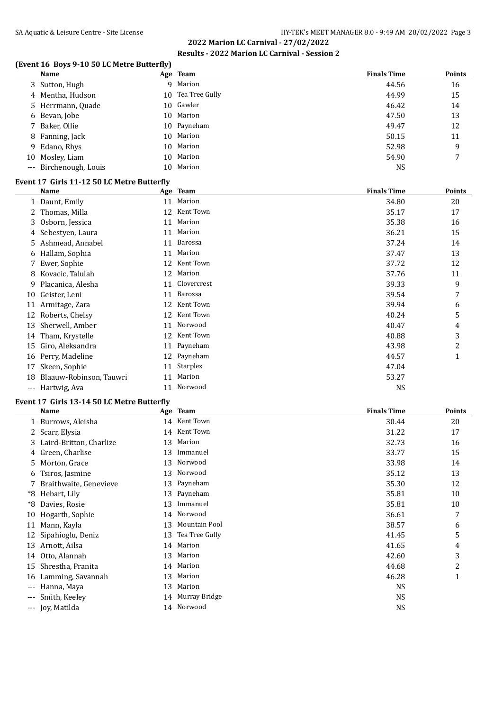# **(Event 16 Boys 9-10 50 LC Metre Butterfly)**

|    | <b>Name</b>            | Age Team          | <b>Finals Time</b> | <b>Points</b> |
|----|------------------------|-------------------|--------------------|---------------|
|    | 3 Sutton, Hugh         | 9 Marion          | 44.56              | 16            |
|    | 4 Mentha, Hudson       | 10 Tea Tree Gully | 44.99              | 15            |
|    | 5 Herrmann, Quade      | 10 Gawler         | 46.42              | 14            |
|    | 6 Bevan, Jobe          | 10 Marion         | 47.50              | 13            |
|    | 7 Baker, Ollie         | 10 Payneham       | 49.47              | 12            |
|    | 8 Fanning, Jack        | 10 Marion         | 50.15              | 11            |
|    | 9 Edano, Rhys          | 10 Marion         | 52.98              | 9             |
| 10 | Mosley, Liam           | 10 Marion         | 54.90              | 7             |
|    | --- Birchenough, Louis | 10 Marion         | <b>NS</b>          |               |

#### **Event 17 Girls 11-12 50 LC Metre Butterfly**

|     | Name                    |    | Age Team    | <b>Finals Time</b> | <b>Points</b> |
|-----|-------------------------|----|-------------|--------------------|---------------|
|     | 1 Daunt, Emily          |    | 11 Marion   | 34.80              | 20            |
| 2   | Thomas, Milla           | 12 | Kent Town   | 35.17              | 17            |
|     | 3 Osborn, Jessica       | 11 | Marion      | 35.38              | 16            |
|     | 4 Sebestyen, Laura      | 11 | Marion      | 36.21              | 15            |
|     | 5 Ashmead, Annabel      | 11 | Barossa     | 37.24              | 14            |
|     | 6 Hallam, Sophia        | 11 | Marion      | 37.47              | 13            |
|     | 7 Ewer, Sophie          | 12 | Kent Town   | 37.72              | 12            |
| 8   | Kovacic, Talulah        | 12 | Marion      | 37.76              | 11            |
| 9.  | Placanica, Alesha       | 11 | Clovercrest | 39.33              | 9             |
| 10  | Geister, Leni           | 11 | Barossa     | 39.54              | 7             |
| 11  | Armitage, Zara          | 12 | Kent Town   | 39.94              | 6             |
|     | 12 Roberts, Chelsy      | 12 | Kent Town   | 40.24              | 5             |
| 13  | Sherwell, Amber         | 11 | Norwood     | 40.47              | 4             |
| 14  | Tham, Krystelle         | 12 | Kent Town   | 40.88              | 3             |
| 15  | Giro, Aleksandra        | 11 | Payneham    | 43.98              | 2             |
| 16  | Perry, Madeline         | 12 | Payneham    | 44.57              | $\mathbf{1}$  |
| 17  | Skeen, Sophie           | 11 | Starplex    | 47.04              |               |
| 18  | Blaauw-Robinson, Tauwri | 11 | Marion      | 53.27              |               |
| --- | Hartwig, Ava            | 11 | Norwood     | <b>NS</b>          |               |

#### **Event 17 Girls 13-14 50 LC Metre Butterfly**

 $\overline{a}$ 

|          | Name                      |    | Age Team       | <b>Finals Time</b> | <b>Points</b> |
|----------|---------------------------|----|----------------|--------------------|---------------|
|          | 1 Burrows, Aleisha        |    | 14 Kent Town   | 30.44              | 20            |
|          | Scarr, Elysia             | 14 | Kent Town      | 31.22              | 17            |
|          | 3 Laird-Britton, Charlize | 13 | Marion         | 32.73              | 16            |
|          | 4 Green, Charlise         | 13 | Immanuel       | 33.77              | 15            |
| 5.       | Morton, Grace             | 13 | Norwood        | 33.98              | 14            |
| 6        | Tsiros, Jasmine           | 13 | Norwood        | 35.12              | 13            |
| 7        | Braithwaite, Genevieve    | 13 | Payneham       | 35.30              | 12            |
| *8       | Hebart, Lily              | 13 | Payneham       | 35.81              | 10            |
| *8       | Davies, Rosie             | 13 | Immanuel       | 35.81              | 10            |
| 10       | Hogarth, Sophie           | 14 | Norwood        | 36.61              | 7             |
| 11       | Mann, Kayla               | 13 | Mountain Pool  | 38.57              | 6             |
| 12       | Sipahioglu, Deniz         | 13 | Tea Tree Gully | 41.45              | 5             |
| 13       | Arnott, Ailsa             | 14 | Marion         | 41.65              | 4             |
| 14       | Otto, Alannah             | 13 | Marion         | 42.60              | 3             |
| 15       | Shrestha, Pranita         | 14 | Marion         | 44.68              | 2             |
| 16       | Lamming, Savannah         | 13 | Marion         | 46.28              | $\mathbf{1}$  |
| $---$    | Hanna, Maya               | 13 | Marion         | <b>NS</b>          |               |
|          | Smith, Keeley             | 14 | Murray Bridge  | <b>NS</b>          |               |
| $\cdots$ | Joy, Matilda              | 14 | Norwood        | <b>NS</b>          |               |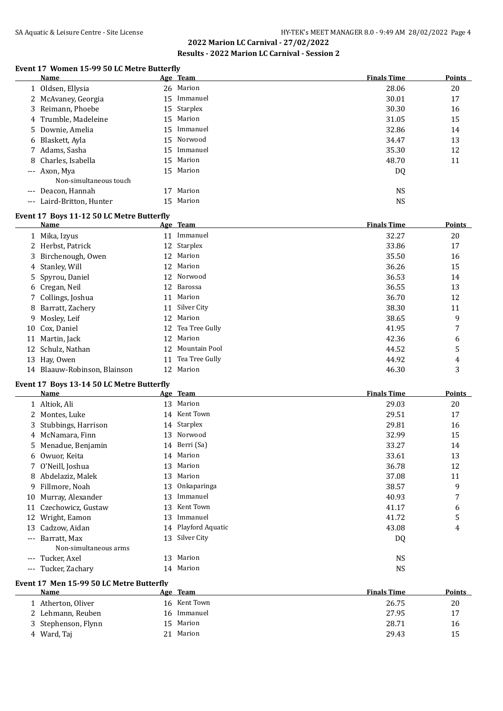#### **Event 17 Women 15-99 50 LC Metre Butterfly**

|       | <b>Name</b>            |                 | Age Team    | <b>Finals Time</b> | <b>Points</b> |
|-------|------------------------|-----------------|-------------|--------------------|---------------|
|       | 1 Oldsen, Ellysia      |                 | 26 Marion   | 28.06              | 20            |
|       | 2 McAvaney, Georgia    | 15              | Immanuel    | 30.01              | 17            |
|       | 3 Reimann, Phoebe      |                 | 15 Starplex | 30.30              | 16            |
|       | 4 Trumble, Madeleine   |                 | 15 Marion   | 31.05              | 15            |
|       | 5 Downie, Amelia       |                 | 15 Immanuel | 32.86              | 14            |
|       | 6 Blaskett, Ayla       |                 | 15 Norwood  | 34.47              | 13            |
|       | 7 Adams, Sasha         | 15 <sup>2</sup> | Immanuel    | 35.30              | 12            |
|       | 8 Charles, Isabella    |                 | 15 Marion   | 48.70              | 11            |
|       | --- Axon, Mya          | 15              | Marion      | DQ                 |               |
|       | Non-simultaneous touch |                 |             |                    |               |
| $---$ | Deacon, Hannah         |                 | Marion      | <b>NS</b>          |               |
| $---$ | Laird-Britton, Hunter  | 15              | Marion      | NS                 |               |
|       |                        |                 |             |                    |               |

#### **Event 17 Boys 11-12 50 LC Metre Butterfly**

|    | Name                         |    | Age Team          | <b>Finals Time</b> | <b>Points</b> |
|----|------------------------------|----|-------------------|--------------------|---------------|
|    | 1 Mika, Izyus                | 11 | Immanuel          | 32.27              | 20            |
|    | 2 Herbst, Patrick            |    | 12 Starplex       | 33.86              | 17            |
|    | 3 Birchenough, Owen          |    | 12 Marion         | 35.50              | 16            |
|    | 4 Stanley, Will              |    | 12 Marion         | 36.26              | 15            |
|    | 5 Spyrou, Daniel             |    | 12 Norwood        | 36.53              | 14            |
|    | 6 Cregan, Neil               |    | 12 Barossa        | 36.55              | 13            |
|    | 7 Collings, Joshua           | 11 | Marion            | 36.70              | 12            |
|    | 8 Barratt, Zachery           |    | 11 Silver City    | 38.30              | 11            |
|    | 9 Mosley, Leif               |    | 12 Marion         | 38.65              | 9             |
|    | 10 Cox, Daniel               |    | 12 Tea Tree Gully | 41.95              | 7             |
| 11 | Martin, Jack                 |    | 12 Marion         | 42.36              | 6             |
|    | 12 Schulz, Nathan            |    | 12 Mountain Pool  | 44.52              | 5             |
|    | 13 Hay, Owen                 | 11 | Tea Tree Gully    | 44.92              | 4             |
|    | 14 Blaauw-Robinson, Blainson | 12 | Marion            | 46.30              | 3             |

#### **Event 17 Boys 13-14 50 LC Metre Butterfly**

|          | Name                  |    | Age Team            | <b>Finals Time</b> | Points |
|----------|-----------------------|----|---------------------|--------------------|--------|
|          | 1 Altiok, Ali         |    | 13 Marion           | 29.03              | 20     |
|          | 2 Montes, Luke        |    | 14 Kent Town        | 29.51              | 17     |
|          | 3 Stubbings, Harrison |    | 14 Starplex         | 29.81              | 16     |
|          | 4 McNamara, Finn      |    | 13 Norwood          | 32.99              | 15     |
|          | 5 Menadue, Benjamin   |    | 14 Berri (Sa)       | 33.27              | 14     |
|          | 6 Owuor, Keita        | 14 | Marion              | 33.61              | 13     |
|          | 7 O'Neill, Joshua     | 13 | Marion              | 36.78              | 12     |
|          | 8 Abdelaziz, Malek    |    | 13 Marion           | 37.08              | 11     |
| 9        | Fillmore, Noah        |    | 13 Onkaparinga      | 38.57              | 9      |
| 10       | Murray, Alexander     | 13 | Immanuel            | 40.93              | 7      |
| 11       | Czechowicz, Gustaw    | 13 | Kent Town           | 41.17              | 6      |
| 12       | Wright, Eamon         | 13 | Immanuel            | 41.72              | 5      |
| 13       | Cadzow, Aidan         |    | 14 Playford Aquatic | 43.08              | 4      |
| $---$    | Barratt, Max          | 13 | Silver City         | DQ                 |        |
|          | Non-simultaneous arms |    |                     |                    |        |
| $---$    | Tucker, Axel          | 13 | Marion              | <b>NS</b>          |        |
| $\cdots$ | Tucker, Zachary       |    | 14 Marion           | <b>NS</b>          |        |

#### **Event 17 Men 15-99 50 LC Metre Butterfly**

| Name                | Age Team       | <b>Finals Time</b> | <b>Points</b> |
|---------------------|----------------|--------------------|---------------|
| 1 Atherton, Oliver  | 16 Kent Town   | 26.75              | 20            |
| 2 Lehmann, Reuben   | Immanuel<br>16 | 27.95              | 17            |
| 3 Stephenson, Flynn | 15 Marion      | 28.71              | 16            |
| 4 Ward, Taj         | Marion<br>21   | 29.43              | 15            |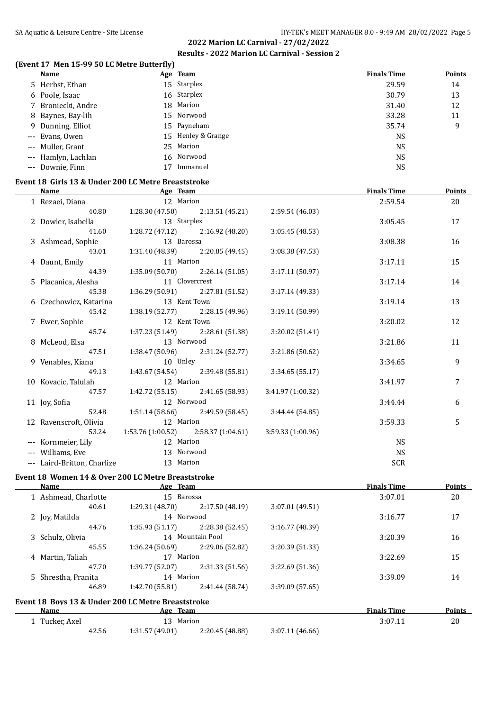#### **(Event 17 Men 15-99 50 LC Metre Butterfly)**

| Name                | Age Team           | <b>Finals Time</b> | <b>Points</b> |
|---------------------|--------------------|--------------------|---------------|
| 5 Herbst, Ethan     | 15 Starplex        | 29.59              | 14            |
| 6 Poole, Isaac      | 16 Starplex        | 30.79              | 13            |
| 7 Broniecki, Andre  | 18 Marion          | 31.40              | 12            |
| 8 Baynes, Bay-lih   | 15 Norwood         | 33.28              | 11            |
| 9 Dunning, Elliot   | 15 Payneham        | 35.74              | 9             |
| --- Evans, Owen     | 15 Henley & Grange | <b>NS</b>          |               |
| --- Muller, Grant   | 25 Marion          | NS                 |               |
| --- Hamlyn, Lachlan | 16 Norwood         | <b>NS</b>          |               |
| --- Downie. Finn    | Immanuel           | NS                 |               |

## **Event 18 Girls 13 & Under 200 LC Metre Breaststroke**

| Name                        | Age Team                              |                                     |                   | <b>Finals Time</b> | <b>Points</b> |
|-----------------------------|---------------------------------------|-------------------------------------|-------------------|--------------------|---------------|
| 1 Rezaei, Diana             | 12 Marion                             |                                     |                   | 2:59.54            | 20            |
| 40.80                       |                                       | $1:28.30(47.50)$ $2:13.51(45.21)$   | 2:59.54 (46.03)   |                    |               |
| 2 Dowler, Isabella          | 13 Starplex                           |                                     |                   | 3:05.45            | 17            |
| 41.60                       |                                       | $1:28.72$ (47.12) $2:16.92$ (48.20) | 3:05.45(48.53)    |                    |               |
| 3 Ashmead, Sophie           | 13 Barossa                            |                                     |                   | 3:08.38            | 16            |
| 43.01                       |                                       | $1:31.40(48.39)$ $2:20.85(49.45)$   | 3:08.38(47.53)    |                    |               |
| 4 Daunt, Emily              | 11 Marion                             |                                     |                   | 3:17.11            | 15            |
| 44.39                       |                                       | $1:35.09(50.70)$ $2:26.14(51.05)$   | 3:17.11(50.97)    |                    |               |
| 5 Placanica, Alesha         | 11 Clovercrest                        |                                     |                   | 3:17.14            | 14            |
| 45.38                       | $1:36.29(50.91)$ $2:27.81(51.52)$     |                                     | 3:17.14(49.33)    |                    |               |
| 6 Czechowicz, Katarina      | 13 Kent Town                          |                                     |                   | 3:19.14            | 13            |
| 45.42                       |                                       | $1:38.19(52.77)$ $2:28.15(49.96)$   | 3:19.14(50.99)    |                    |               |
| 7 Ewer, Sophie              | 12 Kent Town                          |                                     |                   | 3:20.02            | 12            |
| 45.74                       |                                       | $1:37.23(51.49)$ $2:28.61(51.38)$   | 3:20.02 (51.41)   |                    |               |
| 8 McLeod, Elsa              | 13 Norwood                            |                                     |                   | 3:21.86            | 11            |
| 47.51                       |                                       | $1:38.47(50.96)$ $2:31.24(52.77)$   | 3:21.86 (50.62)   |                    |               |
| 9 Venables, Kiana           | 10 Unley                              |                                     |                   | 3:34.65            | 9             |
| 49.13                       |                                       | $1:43.67(54.54)$ $2:39.48(55.81)$   | 3:34.65(55.17)    |                    |               |
| 10 Kovacic, Talulah         | 12 Marion                             |                                     |                   | 3:41.97            | 7             |
| 47.57                       |                                       | $1:42.72(55.15)$ $2:41.65(58.93)$   | 3:41.97 (1:00.32) |                    |               |
| 11 Joy, Sofia               | 12 Norwood                            |                                     |                   | 3:44.44            | 6             |
| 52.48                       |                                       | $1:51.14(58.66)$ $2:49.59(58.45)$   | 3:44.44(54.85)    |                    |               |
| 12 Ravenscroft, Olivia      | 12 Marion                             |                                     |                   | 3:59.33            | 5             |
| 53.24                       | $1:53.76(1:00.52)$ $2:58.37(1:04.61)$ |                                     | 3:59.33 (1:00.96) |                    |               |
| --- Kornmeier, Lily         | 12 Marion                             |                                     |                   | <b>NS</b>          |               |
| --- Williams, Eve           | 13 Norwood                            |                                     |                   | <b>NS</b>          |               |
| --- Laird-Britton, Charlize | 13 Marion                             |                                     |                   | <b>SCR</b>         |               |

#### **Event 18 Women 14 & Over 200 LC Metre Breaststroke**

| Name                                               | Age Team        |                  |                 | <b>Finals Time</b> | <b>Points</b> |
|----------------------------------------------------|-----------------|------------------|-----------------|--------------------|---------------|
| 1 Ashmead, Charlotte                               | 15 Barossa      |                  |                 | 3:07.01            | 20            |
| 40.61                                              | 1:29.31(48.70)  | 2:17.50 (48.19)  | 3:07.01 (49.51) |                    |               |
| 2 Joy, Matilda                                     | 14 Norwood      |                  |                 | 3:16.77            | 17            |
| 44.76                                              | 1:35.93(51.17)  | 2:28.38 (52.45)  | 3:16.77(48.39)  |                    |               |
| 3 Schulz, Olivia                                   |                 | 14 Mountain Pool |                 | 3:20.39            | 16            |
| 45.55                                              | 1:36.24(50.69)  | 2:29.06 (52.82)  | 3:20.39 (51.33) |                    |               |
| 4 Martin, Taliah                                   |                 | 17 Marion        |                 |                    | 15            |
| 47.70                                              | 1:39.77 (52.07) | 2:31.33(51.56)   | 3:22.69(51.36)  |                    |               |
| 5 Shrestha, Pranita                                | 14 Marion       |                  |                 | 3:39.09            | 14            |
| 46.89                                              | 1:42.70 (55.81) | 2:41.44 (58.74)  | 3:39.09 (57.65) |                    |               |
| Event 18 Boys 13 & Under 200 LC Metre Breaststroke |                 |                  |                 |                    |               |
| Name                                               | Age Team        |                  |                 | <b>Finals Time</b> | Points        |
| 1 Tucker, Axel                                     | 13              | Marion           |                 | 3:07.11            | 20            |
| 42.56                                              | 1:31.57 (49.01) | 2:20.45 (48.88)  | 3:07.11(46.66)  |                    |               |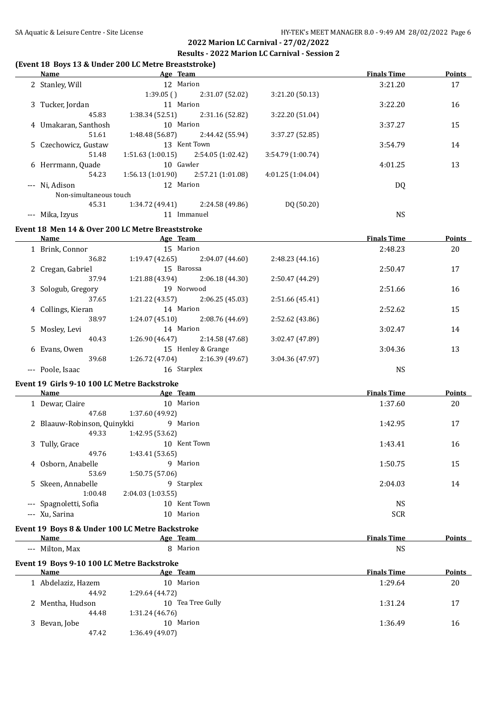#### **(Event 18 Boys 13 & Under 200 LC Metre Breaststroke)**

| Name                   | Age Team         |                   |                   | <b>Finals Time</b> | <b>Points</b> |
|------------------------|------------------|-------------------|-------------------|--------------------|---------------|
| 2 Stanley, Will        | 12 Marion        |                   |                   | 3:21.20            | 17            |
|                        | 1:39.05(         | 2:31.07 (52.02)   | 3:21.20(50.13)    |                    |               |
| 3 Tucker, Jordan       | 11 Marion        |                   |                   | 3:22.20            | 16            |
| 45.83                  | 1:38.34(52.51)   | 2:31.16 (52.82)   | 3:22.20 (51.04)   |                    |               |
| 4 Umakaran, Santhosh   | 10 Marion        |                   |                   | 3:37.27            | 15            |
| 51.61                  | 1:48.48 (56.87)  | 2:44.42 (55.94)   | 3:37.27 (52.85)   |                    |               |
| 5 Czechowicz, Gustaw   |                  | 13 Kent Town      |                   | 3:54.79            | 14            |
| 51.48                  | 1:51.63(1:00.15) | 2:54.05 (1:02.42) | 3:54.79 (1:00.74) |                    |               |
| 6 Herrmann, Quade      | 10 Gawler        |                   |                   | 4:01.25            | 13            |
| 54.23                  | 1:56.13(1:01.90) | 2:57.21 (1:01.08) | 4:01.25(1:04.04)  |                    |               |
| --- Ni, Adison         | 12 Marion        |                   |                   | DQ                 |               |
| Non-simultaneous touch |                  |                   |                   |                    |               |
| 45.31                  | 1:34.72 (49.41)  | 2:24.58 (49.86)   | DQ (50.20)        |                    |               |
| Mika, Izvus            | 11               | Immanuel          |                   | <b>NS</b>          |               |

#### **Event 18 Men 14 & Over 200 LC Metre Breaststroke**

| Name               | Age Team        |                    |                 | <b>Finals Time</b> | Points |
|--------------------|-----------------|--------------------|-----------------|--------------------|--------|
| 1 Brink, Connor    | 15 Marion       |                    |                 | 2:48.23            | 20     |
| 36.82              | 1:19.47(42.65)  | 2:04.07(44.60)     | 2:48.23(44.16)  |                    |        |
| 2 Cregan, Gabriel  | 15 Barossa      |                    |                 | 2:50.47            | 17     |
| 37.94              | 1:21.88 (43.94) | 2:06.18(44.30)     | 2:50.47 (44.29) |                    |        |
| 3 Sologub, Gregory | 19 Norwood      |                    |                 | 2:51.66            | 16     |
| 37.65              | 1:21.22(43.57)  | 2:06.25(45.03)     | 2:51.66 (45.41) |                    |        |
| 4 Collings, Kieran | 14 Marion       |                    |                 | 2:52.62            | 15     |
| 38.97              | 1:24.07(45.10)  | 2:08.76 (44.69)    | 2:52.62 (43.86) |                    |        |
| 5 Mosley, Levi     | 14 Marion       |                    |                 | 3:02.47            | 14     |
| 40.43              | 1:26.90(46.47)  | 2:14.58 (47.68)    | 3:02.47 (47.89) |                    |        |
| 6 Evans, Owen      |                 | 15 Henley & Grange |                 | 3:04.36            | 13     |
| 39.68              | 1:26.72(47.04)  | 2:16.39 (49.67)    | 3:04.36 (47.97) |                    |        |
| --- Poole, Isaac   | 16 Starplex     |                    |                 | NS                 |        |

#### **Event 19 Girls 9-10 100 LC Metre Backstroke**

| Name                        | Age Team                     | <b>Finals Time</b> | <b>Points</b> |
|-----------------------------|------------------------------|--------------------|---------------|
| 1 Dewar, Claire             | 10 Marion                    | 1:37.60            | 20            |
| 47.68                       | 1:37.60 (49.92)              |                    |               |
| 2 Blaauw-Robinson, Quinykki | 9 Marion                     | 1:42.95            | 17            |
| 49.33                       | 1:42.95 (53.62)              |                    |               |
| 3 Tully, Grace              | Kent Town<br>$10^{-7}$       | 1:43.41            | 16            |
| 49.76                       | 1:43.41 (53.65)              |                    |               |
| 4 Osborn, Anabelle          | Marion<br>9                  | 1:50.75            | 15            |
| 53.69                       | 1:50.75(57.06)               |                    |               |
| 5 Skeen, Annabelle          | Starplex<br>9                | 2:04.03            | 14            |
| 1:00.48                     | 2:04.03(1:03.55)             |                    |               |
| --- Spagnoletti, Sofia      | Kent Town<br>10 <sup>1</sup> | <b>NS</b>          |               |
| --- Xu, Sarina              | Marion<br>10                 | <b>SCR</b>         |               |
|                             |                              |                    |               |

# **Event 19 Boys 8 & Under 100 LC Metre Backstroke**

|       | Name          | Age | <b>Team</b> | ata Titulia<br>--<br>Tıme<br>ппаіз | -oml |
|-------|---------------|-----|-------------|------------------------------------|------|
| $---$ | Milton<br>Max |     | Marion      | <b>NS</b><br>$\sim$                |      |

# **Event 19 Boys 9-10 100 LC Metre Backstroke**

| Name               | Age Team             | <b>Finals Time</b> | <b>Points</b> |
|--------------------|----------------------|--------------------|---------------|
| 1 Abdelaziz, Hazem | 10 Marion            | 1:29.64            | 20            |
| 44.92              | 1:29.64 (44.72)      |                    |               |
| 2 Mentha, Hudson   | Tea Tree Gully<br>10 | 1:31.24            | 17            |
| 44.48              | 1:31.24(46.76)       |                    |               |
| 3 Bevan, Jobe      | Marion<br>10         | 1:36.49            | 16            |
| 47.42              | 1:36.49(49.07)       |                    |               |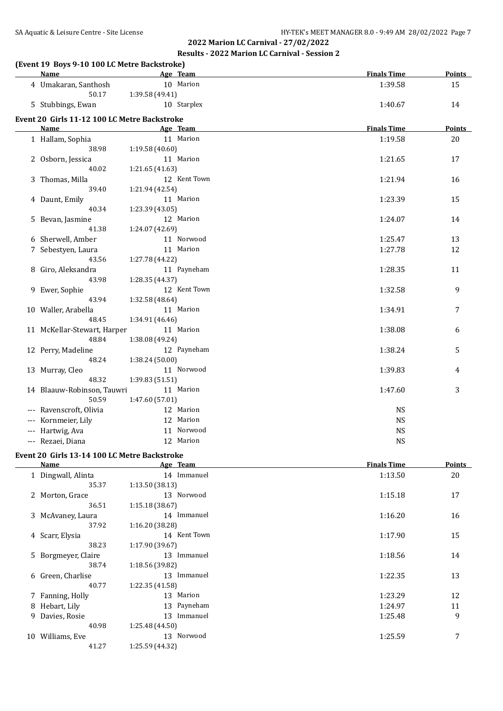#### **(Event 19 Boys 9-10 100 LC Metre Backstroke)**

| <b>Name</b>                                  | Age Team        | <b>Finals Time</b> | <b>Points</b> |
|----------------------------------------------|-----------------|--------------------|---------------|
| 4 Umakaran, Santhosh                         | 10 Marion       | 1:39.58            | 15            |
| 50.17                                        | 1:39.58 (49.41) |                    |               |
| 5 Stubbings, Ewan                            | 10 Starplex     | 1:40.67            | 14            |
| Event 20 Girls 11-12 100 LC Metre Backstroke |                 |                    |               |
| Name                                         | Age Team        | <b>Finals Time</b> | <b>Points</b> |
| 1 Hallam, Sophia                             | 11 Marion       | 1:19.58            | 20            |
| 38.98                                        | 1:19.58 (40.60) |                    |               |
| 2 Osborn, Jessica                            | 11 Marion       | 1:21.65            | 17            |
| 40.02                                        | 1:21.65 (41.63) |                    |               |
| 3 Thomas, Milla                              | 12 Kent Town    | 1:21.94            | 16            |
| 39.40                                        | 1:21.94 (42.54) |                    |               |
| 4 Daunt, Emily                               | 11 Marion       | 1:23.39            | 15            |
| 40.34                                        | 1:23.39 (43.05) |                    |               |
| 5 Bevan, Jasmine                             | 12 Marion       | 1:24.07            | 14            |
| 41.38                                        | 1:24.07 (42.69) |                    |               |
| 6 Sherwell, Amber                            | 11 Norwood      | 1:25.47            | 13            |
| 7 Sebestyen, Laura                           | 11 Marion       | 1:27.78            | 12            |
| 43.56                                        | 1:27.78 (44.22) |                    |               |
| 8 Giro, Aleksandra                           | 11 Payneham     | 1:28.35            | 11            |
| 43.98                                        | 1:28.35 (44.37) |                    |               |
| 9 Ewer, Sophie                               | 12 Kent Town    | 1:32.58            | 9             |
| 43.94                                        | 1:32.58 (48.64) |                    |               |
| 10 Waller, Arabella                          | 11 Marion       | 1:34.91            | 7             |
| 48.45                                        | 1:34.91 (46.46) |                    |               |
| 11 McKellar-Stewart, Harper                  | 11 Marion       | 1:38.08            | 6             |
| 48.84                                        | 1:38.08 (49.24) |                    |               |
| 12 Perry, Madeline                           | 12 Payneham     | 1:38.24            | 5             |
| 48.24                                        | 1:38.24 (50.00) |                    |               |
| 13 Murray, Cleo                              | 11 Norwood      | 1:39.83            | 4             |
| 48.32                                        | 1:39.83 (51.51) |                    |               |
| 14 Blaauw-Robinson, Tauwri                   | 11 Marion       | 1:47.60            | 3             |
| 50.59                                        | 1:47.60 (57.01) |                    |               |
| Ravenscroft, Olivia                          | 12 Marion       | NS                 |               |
| --- Kornmeier, Lily                          | 12 Marion       | <b>NS</b>          |               |
| --- Hartwig, Ava                             | 11 Norwood      | NS                 |               |
| --- Rezaei, Diana                            | 12 Marion       | <b>NS</b>          |               |
|                                              |                 |                    |               |

# **Event 20 Girls 13-14 100 LC Metre Backstroke**

|    | Name                | Age Team        | <b>Finals Time</b> | <b>Points</b> |
|----|---------------------|-----------------|--------------------|---------------|
|    | 1 Dingwall, Alinta  | 14 Immanuel     | 1:13.50            | 20            |
|    | 35.37               | 1:13.50(38.13)  |                    |               |
|    | 2 Morton, Grace     | 13 Norwood      | 1:15.18            | 17            |
|    | 36.51               | 1:15.18(38.67)  |                    |               |
|    | 3 McAvaney, Laura   | 14 Immanuel     | 1:16.20            | 16            |
|    | 37.92               | 1:16.20 (38.28) |                    |               |
|    | 4 Scarr, Elysia     | 14 Kent Town    | 1:17.90            | 15            |
|    | 38.23               | 1:17.90(39.67)  |                    |               |
|    | 5 Borgmeyer, Claire | 13 Immanuel     | 1:18.56            | 14            |
|    | 38.74               | 1:18.56 (39.82) |                    |               |
|    | 6 Green, Charlise   | 13 Immanuel     | 1:22.35            | 13            |
|    | 40.77               | 1:22.35(41.58)  |                    |               |
|    | 7 Fanning, Holly    | 13 Marion       | 1:23.29            | 12            |
|    | 8 Hebart, Lily      | 13 Payneham     | 1:24.97            | 11            |
|    | 9 Davies, Rosie     | 13 Immanuel     | 1:25.48            | 9             |
|    | 40.98               | 1:25.48 (44.50) |                    |               |
| 10 | Williams, Eve       | 13 Norwood      | 1:25.59            | 7             |
|    | 41.27               | 1:25.59 (44.32) |                    |               |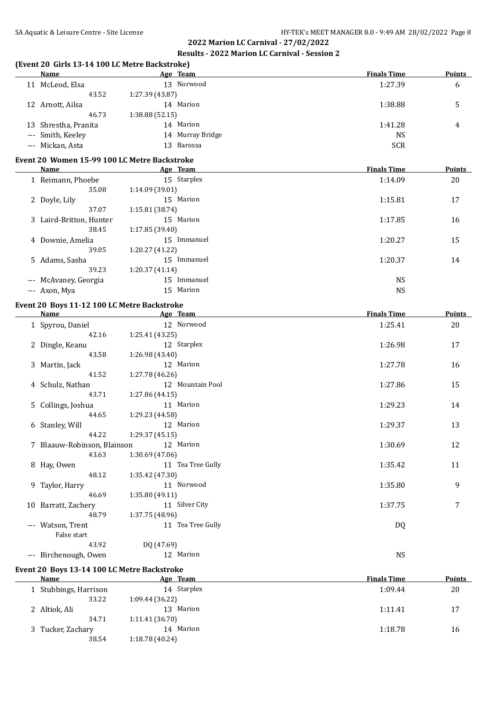# **(Event 20 Girls 13-14 100 LC Metre Backstroke)**

|                     | Name                 | Age Team            | <b>Finals Time</b> | <b>Points</b> |
|---------------------|----------------------|---------------------|--------------------|---------------|
|                     | 11 McLeod, Elsa      | Norwood<br>13.      | 1:27.39            | 6             |
|                     | 43.52                | 1:27.39 (43.87)     |                    |               |
|                     | 12 Arnott, Ailsa     | 14 Marion           | 1:38.88            |               |
|                     | 46.73                | 1:38.88(52.15)      |                    |               |
|                     | 13 Shrestha, Pranita | Marion<br>14        | 1:41.28            | 4             |
|                     | --- Smith, Keeley    | Murray Bridge<br>14 | NS                 |               |
| $\qquad \qquad - -$ | Mickan, Asta         | Barossa<br>13.      | <b>SCR</b>         |               |

## **Event 20 Women 15-99 100 LC Metre Backstroke**

| Name                    | Age Team                    | <b>Finals Time</b> | <b>Points</b> |
|-------------------------|-----------------------------|--------------------|---------------|
| 1 Reimann, Phoebe       | 15 Starplex                 | 1:14.09            | 20            |
| 35.08                   | 1:14.09(39.01)              |                    |               |
| 2 Doyle, Lily           | 15 Marion                   | 1:15.81            | 17            |
| 37.07                   | 1:15.81(38.74)              |                    |               |
| 3 Laird-Britton, Hunter | 15 Marion                   | 1:17.85            | 16            |
| 38.45                   | 1:17.85(39.40)              |                    |               |
| 4 Downie, Amelia        | Immanuel<br>15 <sup>2</sup> | 1:20.27            | 15            |
| 39.05                   | 1:20.27 (41.22)             |                    |               |
| 5 Adams, Sasha          | 15 Immanuel                 | 1:20.37            | 14            |
| 39.23                   | 1:20.37(41.14)              |                    |               |
| --- McAvaney, Georgia   | Immanuel<br>15              | <b>NS</b>          |               |
| --- Axon, Mya           | 15 Marion                   | <b>NS</b>          |               |

#### **Event 20 Boys 11-12 100 LC Metre Backstroke**

| <b>Name</b>                 | Age Team          | <b>Finals Time</b> | <b>Points</b> |
|-----------------------------|-------------------|--------------------|---------------|
| 1 Spyrou, Daniel            | 12 Norwood        | 1:25.41            | 20            |
| 42.16                       | 1:25.41 (43.25)   |                    |               |
| 2 Dingle, Keanu             | 12 Starplex       | 1:26.98            | 17            |
| 43.58                       | 1:26.98 (43.40)   |                    |               |
| 3 Martin, Jack              | 12 Marion         | 1:27.78            | 16            |
| 41.52                       | 1:27.78 (46.26)   |                    |               |
| 4 Schulz, Nathan            | 12 Mountain Pool  | 1:27.86            | 15            |
| 43.71                       | 1:27.86 (44.15)   |                    |               |
| 5 Collings, Joshua          | 11 Marion         | 1:29.23            | 14            |
| 44.65                       | 1:29.23 (44.58)   |                    |               |
| 6 Stanley, Will             | 12 Marion         | 1:29.37            | 13            |
| 44.22                       | 1:29.37 (45.15)   |                    |               |
| 7 Blaauw-Robinson, Blainson | 12 Marion         | 1:30.69            | 12            |
| 43.63                       | 1:30.69(47.06)    |                    |               |
| 8 Hay, Owen                 | 11 Tea Tree Gully | 1:35.42            | 11            |
| 48.12                       | 1:35.42 (47.30)   |                    |               |
| 9 Taylor, Harry             | 11 Norwood        | 1:35.80            | 9             |
| 46.69                       | 1:35.80(49.11)    |                    |               |
| 10 Barratt, Zachery         | 11 Silver City    | 1:37.75            | 7             |
| 48.79                       | 1:37.75 (48.96)   |                    |               |
| --- Watson, Trent           | 11 Tea Tree Gully | DQ                 |               |
| False start                 |                   |                    |               |
| 43.92                       | DQ (47.69)        |                    |               |
| --- Birchenough, Owen       | 12 Marion         | <b>NS</b>          |               |

#### **Event 20 Boys 13-14 100 LC Metre Backstroke**

| Name                  | Age Team       | <b>Finals Time</b> | Points |
|-----------------------|----------------|--------------------|--------|
| 1 Stubbings, Harrison | 14 Starplex    | 1:09.44            | 20     |
| 33.22                 | 1:09.44(36.22) |                    |        |
| 2 Altiok, Ali         | 13 Marion      | 1:11.41            | 17     |
| 34.71                 | 1:11.41(36.70) |                    |        |
| 3 Tucker, Zachary     | 14 Marion      | 1:18.78            | 16     |
| 38.54                 | 1:18.78(40.24) |                    |        |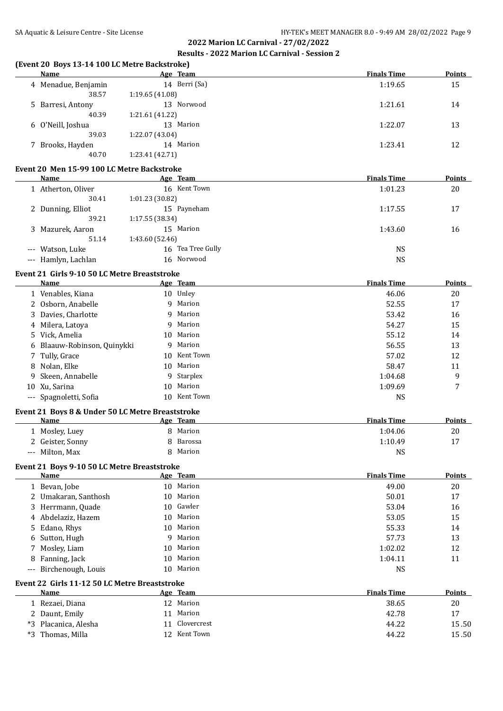#### **(Event 20 Boys 13-14 100 LC Metre Backstroke)**

| <b>Name</b>         | Age Team        | <b>Finals Time</b> | <b>Points</b> |
|---------------------|-----------------|--------------------|---------------|
| 4 Menadue, Benjamin | 14 Berri (Sa)   | 1:19.65            | 15            |
| 38.57               | 1:19.65(41.08)  |                    |               |
| 5 Barresi, Antony   | 13 Norwood      | 1:21.61            | 14            |
| 40.39               | 1:21.61 (41.22) |                    |               |
| 6 O'Neill, Joshua   | Marion<br>13    | 1:22.07            | 13            |
| 39.03               | 1:22.07 (43.04) |                    |               |
| 7 Brooks, Hayden    | 14 Marion       | 1:23.41            | 12            |
| 40.70               | 1:23.41(42.71)  |                    |               |
|                     |                 |                    |               |

## **Event 20 Men 15-99 100 LC Metre Backstroke**

| Name                 | Age Team          | <b>Finals Time</b> | <b>Points</b> |
|----------------------|-------------------|--------------------|---------------|
| Atherton, Oliver     | 16 Kent Town      | 1:01.23            | 20            |
| 30.41                | 1:01.23 (30.82)   |                    |               |
| 2 Dunning, Elliot    | 15 Payneham       | 1:17.55            | 17            |
| 39.21                | 1:17.55(38.34)    |                    |               |
| Mazurek, Aaron<br>3. | 15 Marion         | 1:43.60            | 16            |
| 51.14                | 1:43.60 (52.46)   |                    |               |
| --- Watson, Luke     | 16 Tea Tree Gully | NS                 |               |
| --- Hamlyn, Lachlan  | 16 Norwood        | NS                 |               |

#### **Event 21 Girls 9-10 50 LC Metre Breaststroke**

| Name                        |     | Age Team   | <b>Finals Time</b> | <b>Points</b> |
|-----------------------------|-----|------------|--------------------|---------------|
| 1 Venables, Kiana           |     | 10 Unley   | 46.06              | 20            |
| 2 Osborn, Anabelle          |     | 9 Marion   | 52.55              | 17            |
| 3 Davies, Charlotte         |     | 9 Marion   | 53.42              | 16            |
| 4 Milera, Latoya            |     | 9 Marion   | 54.27              | 15            |
| 5 Vick, Amelia              |     | 10 Marion  | 55.12              | 14            |
| 6 Blaauw-Robinson, Quinykki | 9   | Marion     | 56.55              | 13            |
| 7 Tully, Grace              | 10. | Kent Town  | 57.02              | 12            |
| 8 Nolan, Elke               |     | 10 Marion  | 58.47              | 11            |
| 9 Skeen, Annabelle          |     | 9 Starplex | 1:04.68            | 9             |
| 10 Xu, Sarina               |     | 10 Marion  | 1:09.69            | 7             |
| --- Spagnoletti, Sofia      | 10. | Kent Town  | <b>NS</b>          |               |

#### **Event 21 Boys 8 & Under 50 LC Metre Breaststroke**

| Name                 | Age Team | <b>Finals Time</b> | <b>Points</b> |
|----------------------|----------|--------------------|---------------|
| 1 Mosley, Luey       | Marion   | 1:04.06            | 20            |
| 2 Geister, Sonny     | Barossa  | 1:10.49            | 17            |
| Milton, Max<br>$---$ | Marion   | NS                 |               |

#### **Event 21 Boys 9-10 50 LC Metre Breaststroke**

| Name |                                                                                                                                                                                    | <b>Finals Time</b>                                                                                                           | <b>Points</b> |
|------|------------------------------------------------------------------------------------------------------------------------------------------------------------------------------------|------------------------------------------------------------------------------------------------------------------------------|---------------|
|      |                                                                                                                                                                                    | 49.00                                                                                                                        | 20            |
|      |                                                                                                                                                                                    | 50.01                                                                                                                        | 17            |
|      |                                                                                                                                                                                    | 53.04                                                                                                                        | 16            |
|      |                                                                                                                                                                                    | 53.05                                                                                                                        | 15            |
|      |                                                                                                                                                                                    | 55.33                                                                                                                        | 14            |
|      |                                                                                                                                                                                    | 57.73                                                                                                                        | 13            |
|      |                                                                                                                                                                                    | 1:02.02                                                                                                                      | 12            |
|      |                                                                                                                                                                                    | 1:04.11                                                                                                                      | 11            |
|      |                                                                                                                                                                                    | NS                                                                                                                           |               |
|      | 1 Bevan, Jobe<br>2 Umakaran, Santhosh<br>3 Herrmann, Quade<br>4 Abdelaziz, Hazem<br>5 Edano, Rhys<br>6 Sutton, Hugh<br>7 Mosley, Liam<br>8 Fanning, Jack<br>--- Birchenough, Louis | Age Team<br>10 Marion<br>10 Marion<br>10 Gawler<br>10 Marion<br>10 Marion<br>9 Marion<br>10 Marion<br>10 Marion<br>10 Marion |               |

#### **Event 22 Girls 11-12 50 LC Metre Breaststroke**

|    | Name              | Age Team     | <b>Finals Time</b> | <b>Points</b> |
|----|-------------------|--------------|--------------------|---------------|
|    | 1 Rezaei, Diana   | 12 Marion    | 38.65              | 20            |
|    | 2 Daunt, Emily    | Marion       | 42.78              | 17            |
| *3 | Placanica, Alesha | Clovercrest  | 44.22              | 15.50         |
| *3 | Thomas, Milla     | 12 Kent Town | 44.22              | 15.50         |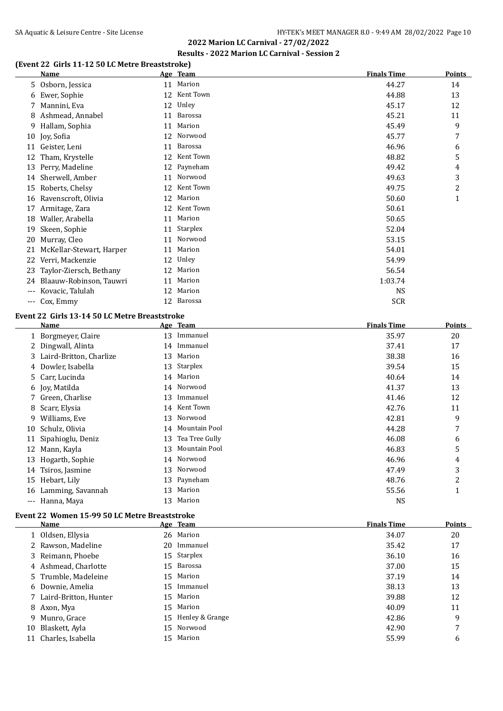# **(Event 22 Girls 11-12 50 LC Metre Breaststroke)**

|       | <u>Name</u>              |    | Age Team   | <b>Finals Time</b> | <b>Points</b> |
|-------|--------------------------|----|------------|--------------------|---------------|
| 5.    | Osborn, Jessica          | 11 | Marion     | 44.27              | 14            |
| 6     | Ewer, Sophie             | 12 | Kent Town  | 44.88              | 13            |
|       | Mannini, Eva             | 12 | Unley      | 45.17              | 12            |
| 8     | Ashmead, Annabel         | 11 | Barossa    | 45.21              | 11            |
| 9     | Hallam, Sophia           | 11 | Marion     | 45.49              | 9             |
| 10    | Joy, Sofia               | 12 | Norwood    | 45.77              | 7             |
| 11    | Geister, Leni            | 11 | Barossa    | 46.96              | 6             |
| 12    | Tham, Krystelle          | 12 | Kent Town  | 48.82              | 5             |
| 13    | Perry, Madeline          | 12 | Payneham   | 49.42              | 4             |
| 14    | Sherwell, Amber          | 11 | Norwood    | 49.63              | 3             |
| 15    | Roberts, Chelsy          | 12 | Kent Town  | 49.75              | 2             |
| 16    | Ravenscroft, Olivia      | 12 | Marion     | 50.60              | 1             |
| 17    | Armitage, Zara           | 12 | Kent Town  | 50.61              |               |
| 18    | Waller, Arabella         | 11 | Marion     | 50.65              |               |
| 19    | Skeen, Sophie            | 11 | Starplex   | 52.04              |               |
| 20    | Murray, Cleo             | 11 | Norwood    | 53.15              |               |
| 21    | McKellar-Stewart, Harper | 11 | Marion     | 54.01              |               |
| 22    | Verri, Mackenzie         | 12 | Unley      | 54.99              |               |
| 23    | Taylor-Ziersch, Bethany  | 12 | Marion     | 56.54              |               |
| 24    | Blaauw-Robinson, Tauwri  | 11 | Marion     | 1:03.74            |               |
| $---$ | Kovacic, Talulah         | 12 | Marion     | <b>NS</b>          |               |
| $---$ | Cox, Emmy                |    | 12 Barossa | <b>SCR</b>         |               |

#### **Event 22 Girls 13-14 50 LC Metre Breaststroke**

|       | <b>Name</b>             |    | Age Team       | <b>Finals Time</b> | <b>Points</b> |
|-------|-------------------------|----|----------------|--------------------|---------------|
|       | 1 Borgmeyer, Claire     | 13 | Immanuel       | 35.97              | 20            |
|       | 2 Dingwall, Alinta      | 14 | Immanuel       | 37.41              | 17            |
| 3.    | Laird-Britton, Charlize | 13 | Marion         | 38.38              | 16            |
| 4     | Dowler, Isabella        | 13 | Starplex       | 39.54              | 15            |
|       | 5 Carr, Lucinda         | 14 | Marion         | 40.64              | 14            |
|       | 6 Joy, Matilda          | 14 | Norwood        | 41.37              | 13            |
|       | 7 Green, Charlise       | 13 | Immanuel       | 41.46              | 12            |
| 8     | Scarr, Elysia           | 14 | Kent Town      | 42.76              | 11            |
| 9     | Williams, Eve           | 13 | Norwood        | 42.81              | 9             |
| 10    | Schulz, Olivia          | 14 | Mountain Pool  | 44.28              | 7             |
| 11    | Sipahioglu, Deniz       | 13 | Tea Tree Gully | 46.08              | 6             |
| 12    | Mann, Kayla             | 13 | Mountain Pool  | 46.83              | 5             |
| 13    | Hogarth, Sophie         | 14 | Norwood        | 46.96              | 4             |
| 14    | Tsiros, Jasmine         | 13 | Norwood        | 47.49              | 3             |
|       | 15 Hebart, Lily         | 13 | Payneham       | 48.76              | 2             |
|       | 16 Lamming, Savannah    | 13 | Marion         | 55.56              | 1             |
| $---$ | Hanna, Maya             | 13 | Marion         | <b>NS</b>          |               |

# **Event 22 Women 15-99 50 LC Metre Breaststroke**

|    | Name                    |    | Age Team           | <b>Finals Time</b> | <b>Points</b> |
|----|-------------------------|----|--------------------|--------------------|---------------|
|    | 1 Oldsen, Ellysia       |    | 26 Marion          | 34.07              | 20            |
|    | 2 Rawson, Madeline      | 20 | Immanuel           | 35.42              | 17            |
|    | 3 Reimann, Phoebe       |    | 15 Starplex        | 36.10              | 16            |
|    | 4 Ashmead, Charlotte    |    | 15 Barossa         | 37.00              | 15            |
|    | 5 Trumble, Madeleine    |    | 15 Marion          | 37.19              | 14            |
|    | 6 Downie, Amelia        |    | 15 Immanuel        | 38.13              | 13            |
|    | 7 Laird-Britton, Hunter |    | 15 Marion          | 39.88              | 12            |
|    | 8 Axon, Mya             |    | 15 Marion          | 40.09              | 11            |
|    | 9 Munro, Grace          |    | 15 Henley & Grange | 42.86              | 9             |
| 10 | Blaskett, Ayla          | 15 | Norwood            | 42.90              | 7             |
|    | 11 Charles, Isabella    |    | 15 Marion          | 55.99              | 6             |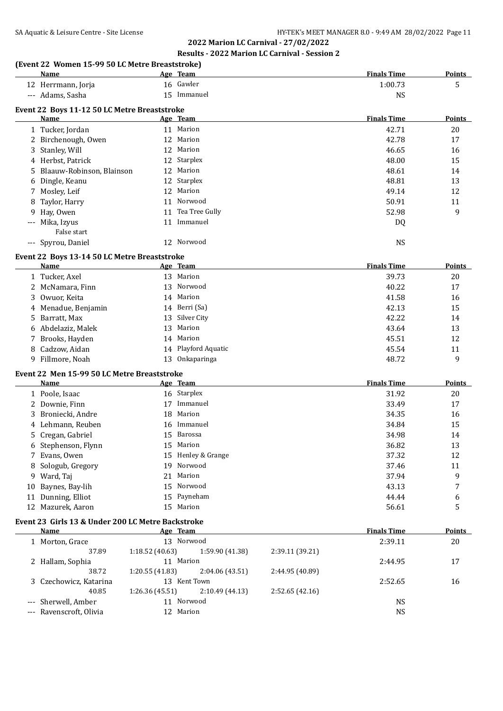|       |                                                 |    | 2022 Marion LC Carnival - 27/02/2022                 |                    |               |
|-------|-------------------------------------------------|----|------------------------------------------------------|--------------------|---------------|
|       |                                                 |    | <b>Results - 2022 Marion LC Carnival - Session 2</b> |                    |               |
|       | (Event 22 Women 15-99 50 LC Metre Breaststroke) |    |                                                      |                    |               |
|       | Name                                            |    | Age Team                                             | <b>Finals Time</b> | <b>Points</b> |
|       | 12 Herrmann, Jorja                              |    | 16 Gawler                                            | 1:00.73            | 5             |
|       | --- Adams, Sasha                                |    | 15 Immanuel                                          | <b>NS</b>          |               |
|       | Event 22 Boys 11-12 50 LC Metre Breaststroke    |    |                                                      |                    |               |
|       | Name                                            |    | Age Team                                             | <b>Finals Time</b> | <b>Points</b> |
|       | 1 Tucker, Jordan                                |    | 11 Marion                                            | 42.71              | 20            |
|       | 2 Birchenough, Owen                             |    | 12 Marion                                            | 42.78              | 17            |
| 3     | Stanley, Will                                   |    | 12 Marion                                            | 46.65              | 16            |
|       | 4 Herbst, Patrick                               |    | 12 Starplex                                          | 48.00              | 15            |
| 5.    | Blaauw-Robinson, Blainson                       |    | 12 Marion                                            | 48.61              | 14            |
| 6     | Dingle, Keanu                                   |    | 12 Starplex                                          | 48.81              | 13            |
|       | 7 Mosley, Leif                                  |    | 12 Marion                                            | 49.14              | 12            |
| 8     | Taylor, Harry                                   | 11 | Norwood                                              | 50.91              | 11            |
| 9     | Hay, Owen                                       | 11 | Tea Tree Gully                                       | 52.98              | 9             |
| $---$ | Mika, Izyus<br>False start                      |    | 11 Immanuel                                          | DQ                 |               |
|       | --- Spyrou, Daniel                              |    | 12 Norwood                                           | <b>NS</b>          |               |
|       | Event 22 Boys 13-14 50 LC Metre Breaststroke    |    |                                                      |                    |               |
|       | Name                                            |    | Age Team                                             | <b>Finals Time</b> | Points        |
|       | 1 Tucker, Axel                                  |    | 13 Marion                                            | 39.73              | 20            |
|       | 2 McNamara, Finn                                |    | 13 Norwood                                           | 40.22              | 17            |
|       | 3 Owuor, Keita                                  |    | 14 Marion                                            | 41.58              | 16            |
|       | 4 Menadue, Benjamin                             |    | 14 Berri (Sa)                                        | 42.13              | 15            |
| 5.    | Barratt, Max                                    | 13 | Silver City                                          | 42.22              | 14            |
|       | 6 Abdelaziz, Malek                              | 13 | Marion                                               | 43.64              | 13            |
| 7     | Brooks, Hayden                                  |    | 14 Marion                                            | 45.51              | 12            |
| 8     | Cadzow, Aidan                                   |    | 14 Playford Aquatic                                  | 45.54              | 11            |
|       | 9 Fillmore, Noah                                | 13 | Onkaparinga                                          | 48.72              | 9             |
|       | Event 22 Men 15-99 50 LC Metre Breaststroke     |    |                                                      |                    |               |
|       | Name                                            |    | Age Team                                             | <b>Finals Time</b> | Points        |
|       | 1 Poole, Isaac                                  |    | 16 Starplex                                          | 31.92              | 20            |
|       | 2 Downie, Finn                                  |    | 17 Immanuel                                          | 33.49              | 17            |
|       | 3 Broniecki, Andre                              |    | 18 Marion                                            | 34.35              | 16            |
|       | 4 Lehmann, Reuben                               |    | 16 Immanuel                                          | 34.84              | 15            |
|       | 5 Cregan, Gabriel                               |    | 15 Barossa                                           | 34.98              | 14            |
|       | 6 Stephenson, Flynn                             | 15 | Marion                                               | 36.82              | 13            |
| 7     | Evans, Owen                                     |    | 15 Henley & Grange                                   | 37.32              | 12            |
| 8     | Sologub, Gregory                                | 19 | Norwood                                              | 37.46              | 11            |
|       | 9 Ward, Taj                                     | 21 | Marion                                               | 37.94              | 9             |
|       | 10 Baynes, Bay-lih                              |    | 15 Norwood                                           | 43.13              | 7             |
|       | 11 Dunning, Elliot                              |    | 15 Payneham                                          | 44.44              | 6             |

#### **Event 23 Girls 13 & Under 200 LC Metre Backstroke**

| Name                    | Age Team       |                 |                 | <b>Finals Time</b> | <b>Points</b> |
|-------------------------|----------------|-----------------|-----------------|--------------------|---------------|
| 1 Morton, Grace         | 13.            | Norwood         |                 | 2:39.11            | 20            |
| 37.89                   | 1:18.52(40.63) | 1:59.90 (41.38) | 2:39.11 (39.21) |                    |               |
| 2 Hallam, Sophia        | 11 Marion      |                 |                 | 2:44.95            | 17            |
| 38.72                   | 1:20.55(41.83) | 2:04.06(43.51)  | 2:44.95 (40.89) |                    |               |
| 3 Czechowicz, Katarina  | 13             | Kent Town       |                 | 2:52.65            | 16            |
| 40.85                   | 1:26.36(45.51) | 2:10.49(44.13)  | 2:52.65(42.16)  |                    |               |
| --- Sherwell, Amber     | 11             | Norwood         |                 | <b>NS</b>          |               |
| --- Ravenscroft, Olivia | 12 Marion      |                 |                 | <b>NS</b>          |               |
|                         |                |                 |                 |                    |               |

12 Mazurek, Aaron 15 Marion 15 Marion 56.61 5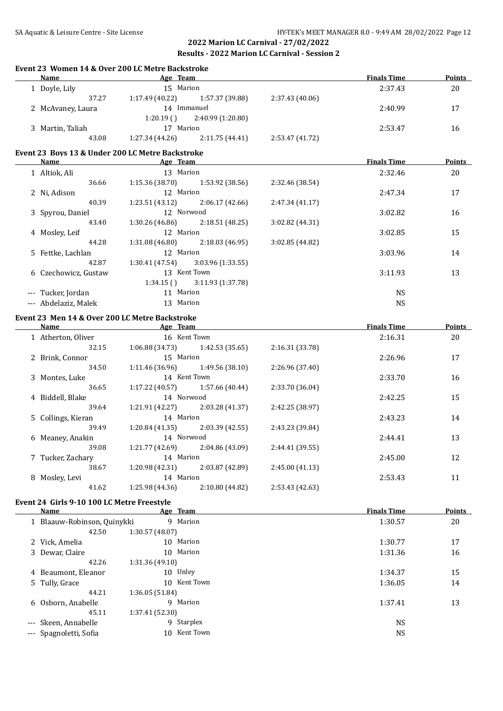#### **Event 23 Women 14 & Over 200 LC Metre Backstroke**

| Name              | Age Team        |                   |                 | <b>Finals Time</b> | Points |
|-------------------|-----------------|-------------------|-----------------|--------------------|--------|
| 1 Doyle, Lily     | 15 Marion       |                   |                 | 2:37.43            | 20     |
| 37.27             | 1:17.49(40.22)  | 1:57.37 (39.88)   | 2:37.43(40.06)  |                    |        |
| 2 McAvaney, Laura | 14              | Immanuel          |                 | 2:40.99            | 17     |
|                   | 1:20.19(        | 2:40.99 (1:20.80) |                 |                    |        |
| 3 Martin, Taliah  | 17              | Marion            |                 | 2:53.47            | 16     |
| 43.08             | 1:27.34 (44.26) | 2:11.75(44.41)    | 2:53.47 (41.72) |                    |        |

#### **Event 23 Boys 13 & Under 200 LC Metre Backstroke**

| <b>Name</b>          | Age Team       |                   |                 | <b>Finals Time</b> | <b>Points</b> |
|----------------------|----------------|-------------------|-----------------|--------------------|---------------|
| 1 Altiok, Ali        | 13 Marion      |                   |                 | 2:32.46            | 20            |
| 36.66                | 1:15.36(38.70) | 1:53.92 (38.56)   | 2:32.46 (38.54) |                    |               |
| 2 Ni, Adison         | 12 Marion      |                   |                 | 2:47.34            | 17            |
| 40.39                | 1:23.51(43.12) | 2:06.17(42.66)    | 2:47.34(41.17)  |                    |               |
| 3 Spyrou, Daniel     | 12 Norwood     |                   |                 | 3:02.82            | 16            |
| 43.40                | 1:30.26(46.86) | 2:18.51(48.25)    | 3:02.82 (44.31) |                    |               |
| 4 Mosley, Leif       | 12 Marion      |                   |                 | 3:02.85            | 15            |
| 44.28                | 1:31.08(46.80) | 2:18.03 (46.95)   | 3:02.85 (44.82) |                    |               |
| 5 Fettke, Lachlan    | 12 Marion      |                   |                 | 3:03.96            | 14            |
| 42.87                | 1:30.41(47.54) | 3:03.96(1:33.55)  |                 |                    |               |
| 6 Czechowicz, Gustaw |                | 13 Kent Town      |                 | 3:11.93            | 13            |
|                      | 1:34.15(       | 3:11.93 (1:37.78) |                 |                    |               |
| --- Tucker, Jordan   | 11 Marion      |                   |                 | <b>NS</b>          |               |
| --- Abdelaziz, Malek | 13 Marion      |                   |                 | <b>NS</b>          |               |

## **Event 23 Men 14 & Over 200 LC Metre Backstroke**

|   | Name               | Age Team        |                 |                 | <b>Finals Time</b> | <b>Points</b> |
|---|--------------------|-----------------|-----------------|-----------------|--------------------|---------------|
|   | 1 Atherton, Oliver | 16 Kent Town    |                 |                 | 2:16.31            | 20            |
|   | 32.15              | 1:06.88 (34.73) | 1:42.53 (35.65) | 2:16.31 (33.78) |                    |               |
|   | 2 Brink, Connor    | 15 Marion       |                 |                 | 2:26.96            | 17            |
|   | 34.50              | 1:11.46 (36.96) | 1:49.56 (38.10) | 2:26.96(37.40)  |                    |               |
|   | 3 Montes, Luke     | 14 Kent Town    |                 |                 | 2:33.70            | 16            |
|   | 36.65              | 1:17.22 (40.57) | 1:57.66 (40.44) | 2:33.70 (36.04) |                    |               |
|   | 4 Biddell, Blake   | 14 Norwood      |                 |                 | 2:42.25            | 15            |
|   | 39.64              | 1:21.91 (42.27) | 2:03.28 (41.37) | 2:42.25 (38.97) |                    |               |
|   | 5 Collings, Kieran | 14 Marion       |                 |                 | 2:43.23            | 14            |
|   | 39.49              | 1:20.84(41.35)  | 2:03.39(42.55)  | 2:43.23 (39.84) |                    |               |
|   | 6 Meaney, Anakin   | 14 Norwood      |                 |                 | 2:44.41            | 13            |
|   | 39.08              | 1:21.77 (42.69) | 2:04.86 (43.09) | 2:44.41 (39.55) |                    |               |
|   | 7 Tucker, Zachary  | 14 Marion       |                 |                 | 2:45.00            | 12            |
|   | 38.67              | 1:20.98(42.31)  | 2:03.87 (42.89) | 2:45.00(41.13)  |                    |               |
| 8 | Mosley, Levi       | 14 Marion       |                 |                 | 2:53.43            | 11            |
|   | 41.62              | 1:25.98 (44.36) | 2:10.80 (44.82) | 2:53.43 (42.63) |                    |               |

#### **Event 24 Girls 9-10 100 LC Metre Freestyle**

| Name                        | Age Team                  | <b>Finals Time</b> | Points |
|-----------------------------|---------------------------|--------------------|--------|
| 1 Blaauw-Robinson, Quinykki | Marion<br>9               | 1:30.57            | 20     |
| 42.50                       | 1:30.57(48.07)            |                    |        |
| 2 Vick, Amelia              | Marion<br>10 <sup>1</sup> | 1:30.77            | 17     |
| 3 Dewar, Claire             | Marion<br>10              | 1:31.36            | 16     |
| 42.26                       | 1:31.36(49.10)            |                    |        |
| 4 Beaumont, Eleanor         | 10 Unley                  | 1:34.37            | 15     |
| 5 Tully, Grace              | Kent Town<br>10           | 1:36.05            | 14     |
| 44.21                       | 1:36.05(51.84)            |                    |        |
| 6 Osborn, Anabelle          | 9 Marion                  | 1:37.41            | 13     |
| 45.11                       | 1:37.41(52.30)            |                    |        |
| --- Skeen, Annabelle        | 9 Starplex                | <b>NS</b>          |        |
| --- Spagnoletti, Sofia      | Kent Town<br>10           | <b>NS</b>          |        |
|                             |                           |                    |        |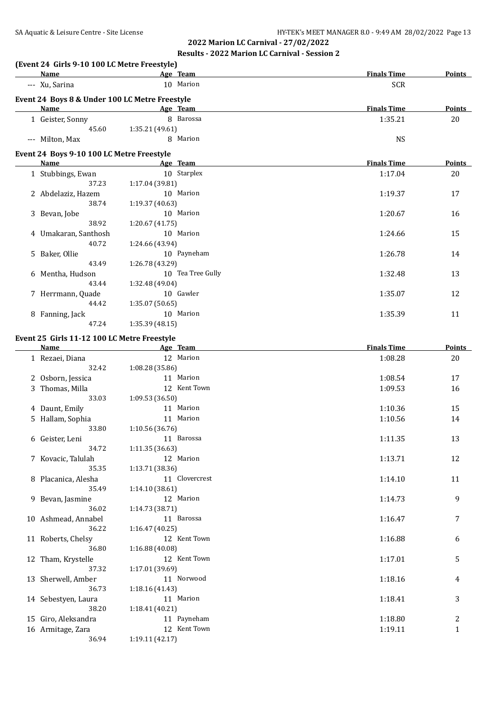| (Event 24 Girls 9-10 100 LC Metre Freestyle)<br>Name |                 | Age Team          | <b>Finals Time</b> | <b>Points</b> |
|------------------------------------------------------|-----------------|-------------------|--------------------|---------------|
| --- Xu, Sarina                                       |                 | 10 Marion         | <b>SCR</b>         |               |
| Event 24 Boys 8 & Under 100 LC Metre Freestyle       |                 |                   |                    |               |
| Name                                                 |                 | Age Team          | <b>Finals Time</b> | <b>Points</b> |
| 1 Geister, Sonny                                     |                 | 8 Barossa         | 1:35.21            | 20            |
| 45.60                                                | 1:35.21 (49.61) |                   |                    |               |
| --- Milton, Max                                      |                 | 8 Marion          | <b>NS</b>          |               |
|                                                      |                 |                   |                    |               |
| Event 24 Boys 9-10 100 LC Metre Freestyle<br>Name    |                 | Age Team          | <b>Finals Time</b> | <b>Points</b> |
| 1 Stubbings, Ewan                                    |                 | 10 Starplex       | 1:17.04            | 20            |
| 37.23                                                | 1:17.04 (39.81) |                   |                    |               |
|                                                      |                 | 10 Marion         |                    |               |
| 2 Abdelaziz, Hazem                                   |                 |                   | 1:19.37            | 17            |
| 38.74                                                | 1:19.37 (40.63) |                   |                    |               |
| 3 Bevan, Jobe                                        |                 | 10 Marion         | 1:20.67            | 16            |
| 38.92                                                | 1:20.67 (41.75) |                   |                    |               |
| 4 Umakaran, Santhosh                                 |                 | 10 Marion         | 1:24.66            | 15            |
| 40.72                                                | 1:24.66 (43.94) |                   |                    |               |
| 5 Baker, Ollie                                       |                 | 10 Payneham       | 1:26.78            | 14            |
| 43.49                                                | 1:26.78 (43.29) |                   |                    |               |
| 6 Mentha, Hudson                                     |                 | 10 Tea Tree Gully | 1:32.48            | 13            |
| 43.44                                                | 1:32.48 (49.04) |                   |                    |               |
| 7 Herrmann, Quade                                    |                 | 10 Gawler         | 1:35.07            | 12            |
| 44.42                                                | 1:35.07 (50.65) |                   |                    |               |
| 8 Fanning, Jack                                      |                 | 10 Marion         | 1:35.39            | 11            |
| 47.24                                                | 1:35.39(48.15)  |                   |                    |               |
|                                                      |                 |                   |                    |               |
| Event 25 Girls 11-12 100 LC Metre Freestyle          |                 |                   |                    |               |
| Name                                                 |                 | Age Team          | <b>Finals Time</b> | <b>Points</b> |
| 1 Rezaei, Diana                                      |                 | 12 Marion         | 1:08.28            | 20            |
| 32.42                                                | 1:08.28 (35.86) |                   |                    |               |
| 2 Osborn, Jessica                                    |                 | 11 Marion         | 1:08.54            | 17            |
| 3 Thomas, Milla                                      |                 | 12 Kent Town      | 1:09.53            | 16            |
| 33.03                                                | 1:09.53 (36.50) |                   |                    |               |
| 4 Daunt, Emily                                       |                 | 11 Marion         | 1:10.36            | 15            |
| 5 Hallam, Sophia                                     |                 | 11 Marion         | 1:10.56            | 14            |
| 33.80                                                | 1:10.56 (36.76) |                   |                    |               |
| 6 Geister, Leni                                      |                 | 11 Barossa        | 1:11.35            | 13            |
| 34.72                                                | 1:11.35 (36.63) |                   |                    |               |
| 7 Kovacic, Talulah                                   |                 | 12 Marion         | 1:13.71            | 12            |
| 35.35                                                | 1:13.71 (38.36) |                   |                    |               |
| 8 Placanica, Alesha                                  |                 | 11 Clovercrest    | 1:14.10            | 11            |
| 35.49                                                |                 |                   |                    |               |
|                                                      | 1:14.10 (38.61) |                   |                    |               |
| 9 Bevan, Jasmine                                     |                 | 12 Marion         | 1:14.73            | 9             |
| 36.02                                                | 1:14.73 (38.71) |                   |                    |               |
| 10 Ashmead, Annabel                                  |                 | 11 Barossa        | 1:16.47            | 7             |
| 36.22                                                | 1:16.47 (40.25) |                   |                    |               |
| 11 Roberts, Chelsy                                   |                 | 12 Kent Town      | 1:16.88            | 6             |
| 36.80                                                | 1:16.88 (40.08) |                   |                    |               |
| 12 Tham, Krystelle                                   |                 | 12 Kent Town      | 1:17.01            | 5             |
|                                                      |                 |                   |                    |               |
| 37.32                                                | 1:17.01 (39.69) | 11 Norwood        |                    |               |

14 Sebestyen, Laura 11 Marion 11 Marion 1:18.41 3

15 Giro, Aleksandra 11 Payneham 11 Payneham 1:18.80 2<br>16 Armitage, Zara 12 Kent Town 1:19.11 1 16 Armitage, Zara 12 Kent Town 1:19.11 1:19.11 1

36.73 1:18.16 (41.43)

38.20 1:18.41 (40.21)

36.94 1:19.11 (42.17)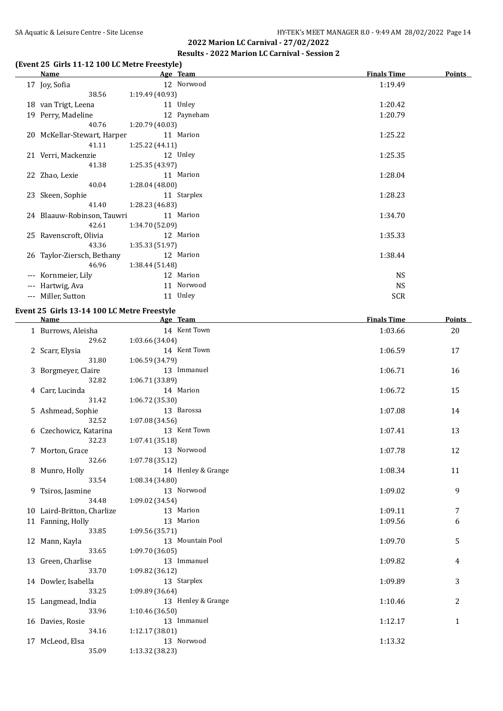## **(Event 25 Girls 11-12 100 LC Metre Freestyle)**

|                | Name                        |                 | Age Team    | <b>Finals Time</b> | <b>Points</b> |
|----------------|-----------------------------|-----------------|-------------|--------------------|---------------|
|                | 17 Joy, Sofia               |                 | 12 Norwood  | 1:19.49            |               |
|                | 38.56                       | 1:19.49 (40.93) |             |                    |               |
|                | 18 van Trigt, Leena         |                 | 11 Unley    | 1:20.42            |               |
|                | 19 Perry, Madeline          |                 | 12 Payneham | 1:20.79            |               |
|                | 40.76                       | 1:20.79 (40.03) |             |                    |               |
|                | 20 McKellar-Stewart, Harper |                 | 11 Marion   | 1:25.22            |               |
|                | 41.11                       | 1:25.22(44.11)  |             |                    |               |
|                | 21 Verri, Mackenzie         |                 | 12 Unley    | 1:25.35            |               |
|                | 41.38                       | 1:25.35 (43.97) |             |                    |               |
|                | 22 Zhao, Lexie              |                 | 11 Marion   | 1:28.04            |               |
|                | 40.04                       | 1:28.04 (48.00) |             |                    |               |
|                | 23 Skeen, Sophie            |                 | 11 Starplex | 1:28.23            |               |
|                | 41.40                       | 1:28.23 (46.83) |             |                    |               |
|                | 24 Blaauw-Robinson, Tauwri  |                 | 11 Marion   | 1:34.70            |               |
|                | 42.61                       | 1:34.70 (52.09) |             |                    |               |
|                | 25 Ravenscroft, Olivia      |                 | 12 Marion   | 1:35.33            |               |
|                | 43.36                       | 1:35.33 (51.97) |             |                    |               |
|                | 26 Taylor-Ziersch, Bethany  |                 | 12 Marion   | 1:38.44            |               |
|                | 46.96                       | 1:38.44(51.48)  |             |                    |               |
| ---            | Kornmeier, Lily             |                 | 12 Marion   | <b>NS</b>          |               |
| $\cdots$       | Hartwig, Ava                |                 | 11 Norwood  | <b>NS</b>          |               |
| $\overline{a}$ | Miller, Sutton              |                 | 11 Unley    | <b>SCR</b>         |               |
|                |                             |                 |             |                    |               |

#### **Event 25 Girls 13-14 100 LC Metre Freestyle**

| <b>Name</b>                | Age Team           | <b>Finals Time</b> | <b>Points</b> |
|----------------------------|--------------------|--------------------|---------------|
| 1 Burrows, Aleisha         | 14 Kent Town       | 1:03.66            | 20            |
| 29.62                      | 1:03.66 (34.04)    |                    |               |
| 2 Scarr, Elysia            | 14 Kent Town       | 1:06.59            | 17            |
| 31.80                      | 1:06.59 (34.79)    |                    |               |
| 3 Borgmeyer, Claire        | 13 Immanuel        | 1:06.71            | 16            |
| 32.82                      | 1:06.71 (33.89)    |                    |               |
| 4 Carr, Lucinda            | 14 Marion          | 1:06.72            | 15            |
| 31.42                      | 1:06.72 (35.30)    |                    |               |
| 5 Ashmead, Sophie          | 13 Barossa         | 1:07.08            | 14            |
| 32.52                      | 1:07.08 (34.56)    |                    |               |
| 6 Czechowicz, Katarina     | 13 Kent Town       | 1:07.41            | 13            |
| 32.23                      | 1:07.41 (35.18)    |                    |               |
| 7 Morton, Grace            | 13 Norwood         | 1:07.78            | 12            |
| 32.66                      | 1:07.78 (35.12)    |                    |               |
| 8 Munro, Holly             | 14 Henley & Grange | 1:08.34            | 11            |
| 33.54                      | 1:08.34 (34.80)    |                    |               |
| 9 Tsiros, Jasmine          | 13 Norwood         | 1:09.02            | 9             |
| 34.48                      | 1:09.02 (34.54)    |                    |               |
| 10 Laird-Britton, Charlize | 13 Marion          | 1:09.11            | 7             |
| 11 Fanning, Holly          | 13 Marion          | 1:09.56            | 6             |
| 33.85                      | 1:09.56 (35.71)    |                    |               |
| 12 Mann, Kayla             | 13 Mountain Pool   | 1:09.70            | 5             |
| 33.65                      | 1:09.70 (36.05)    |                    |               |
| 13 Green, Charlise         | 13 Immanuel        | 1:09.82            | 4             |
| 33.70                      | 1:09.82 (36.12)    |                    |               |
| 14 Dowler, Isabella        | 13 Starplex        | 1:09.89            | 3             |
| 33.25                      | 1:09.89 (36.64)    |                    |               |
| 15 Langmead, India         | 13 Henley & Grange | 1:10.46            | 2             |
| 33.96                      | 1:10.46(36.50)     |                    |               |
| 16 Davies, Rosie           | 13 Immanuel        | 1:12.17            | $\mathbf{1}$  |
| 34.16                      | 1:12.17 (38.01)    |                    |               |
| 17 McLeod, Elsa            | 13 Norwood         | 1:13.32            |               |
| 35.09                      | 1:13.32 (38.23)    |                    |               |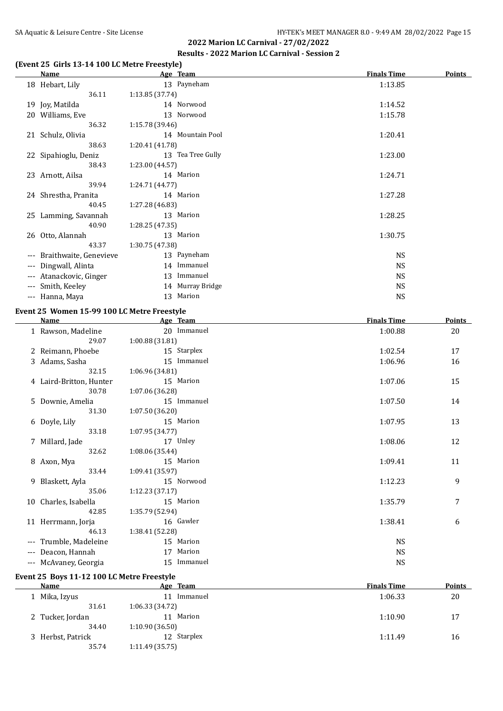#### **(Event 25 Girls 13-14 100 LC Metre Freestyle)**

|       | <b>Name</b>            | Age Team          | <b>Finals Time</b> | <b>Points</b> |
|-------|------------------------|-------------------|--------------------|---------------|
|       | 18 Hebart, Lily        | 13 Payneham       | 1:13.85            |               |
|       | 36.11                  | 1:13.85(37.74)    |                    |               |
|       | 19 Joy, Matilda        | 14 Norwood        | 1:14.52            |               |
| 20    | Williams, Eve          | 13 Norwood        | 1:15.78            |               |
|       | 36.32                  | 1:15.78 (39.46)   |                    |               |
|       | 21 Schulz, Olivia      | 14 Mountain Pool  | 1:20.41            |               |
|       | 38.63                  | 1:20.41 (41.78)   |                    |               |
|       | 22 Sipahioglu, Deniz   | 13 Tea Tree Gully | 1:23.00            |               |
|       | 38.43                  | 1:23.00 (44.57)   |                    |               |
|       | 23 Arnott, Ailsa       | 14 Marion         | 1:24.71            |               |
|       | 39.94                  | 1:24.71 (44.77)   |                    |               |
|       | 24 Shrestha, Pranita   | 14 Marion         | 1:27.28            |               |
|       | 40.45                  | 1:27.28 (46.83)   |                    |               |
|       | 25 Lamming, Savannah   | 13 Marion         | 1:28.25            |               |
|       | 40.90                  | 1:28.25 (47.35)   |                    |               |
|       | 26 Otto, Alannah       | 13 Marion         | 1:30.75            |               |
|       | 43.37                  | 1:30.75 (47.38)   |                    |               |
| ---   | Braithwaite, Genevieve | 13 Payneham       | <b>NS</b>          |               |
|       | --- Dingwall, Alinta   | 14 Immanuel       | <b>NS</b>          |               |
| $---$ | Atanackovic, Ginger    | Immanuel<br>13    | <b>NS</b>          |               |
| $---$ | Smith, Keeley          | 14 Murray Bridge  | <b>NS</b>          |               |
|       | --- Hanna, Maya        | Marion<br>13      | <b>NS</b>          |               |

#### **Event 25 Women 15-99 100 LC Metre Freestyle**

|     | <b>Name</b>             | Age Team        | <b>Finals Time</b> | <b>Points</b> |
|-----|-------------------------|-----------------|--------------------|---------------|
|     | 1 Rawson, Madeline      | 20 Immanuel     | 1:00.88            | 20            |
|     | 29.07                   | 1:00.88(31.81)  |                    |               |
|     | 2 Reimann, Phoebe       | 15 Starplex     | 1:02.54            | 17            |
|     | 3 Adams, Sasha          | 15 Immanuel     | 1:06.96            | 16            |
|     | 32.15                   | 1:06.96 (34.81) |                    |               |
|     | 4 Laird-Britton, Hunter | 15 Marion       | 1:07.06            | 15            |
|     | 30.78                   | 1:07.06 (36.28) |                    |               |
|     | 5 Downie, Amelia        | 15 Immanuel     | 1:07.50            | 14            |
|     | 31.30                   | 1:07.50 (36.20) |                    |               |
|     | 6 Doyle, Lily           | 15 Marion       | 1:07.95            | 13            |
|     | 33.18                   | 1:07.95 (34.77) |                    |               |
|     | 7 Millard, Jade         | 17 Unley        | 1:08.06            | 12            |
|     | 32.62                   | 1:08.06 (35.44) |                    |               |
|     | 8 Axon, Mya             | 15 Marion       | 1:09.41            | 11            |
|     | 33.44                   | 1:09.41 (35.97) |                    |               |
|     | 9 Blaskett, Ayla        | 15 Norwood      | 1:12.23            | 9             |
|     | 35.06                   | 1:12.23 (37.17) |                    |               |
|     | 10 Charles, Isabella    | 15 Marion       | 1:35.79            | 7             |
|     | 42.85                   | 1:35.79 (52.94) |                    |               |
|     | 11 Herrmann, Jorja      | 16 Gawler       | 1:38.41            | 6             |
|     | 46.13                   | 1:38.41 (52.28) |                    |               |
|     | --- Trumble, Madeleine  | 15 Marion       | <b>NS</b>          |               |
| --- | Deacon, Hannah          | Marion<br>17    | <b>NS</b>          |               |
|     | --- McAvaney, Georgia   | Immanuel<br>15  | <b>NS</b>          |               |

#### **Event 25 Boys 11-12 100 LC Metre Freestyle**

| Name              | Age Team       | <b>Finals Time</b> | <b>Points</b> |
|-------------------|----------------|--------------------|---------------|
| 1 Mika, Izyus     | Immanuel       | 1:06.33            | 20            |
| 31.61             | 1:06.33(34.72) |                    |               |
| 2 Tucker, Jordan  | Marion<br>11   | 1:10.90            | 17            |
| 34.40             | 1:10.90(36.50) |                    |               |
| 3 Herbst, Patrick | 12 Starplex    | 1:11.49            | 16            |
| 35.74             | 1:11.49(35.75) |                    |               |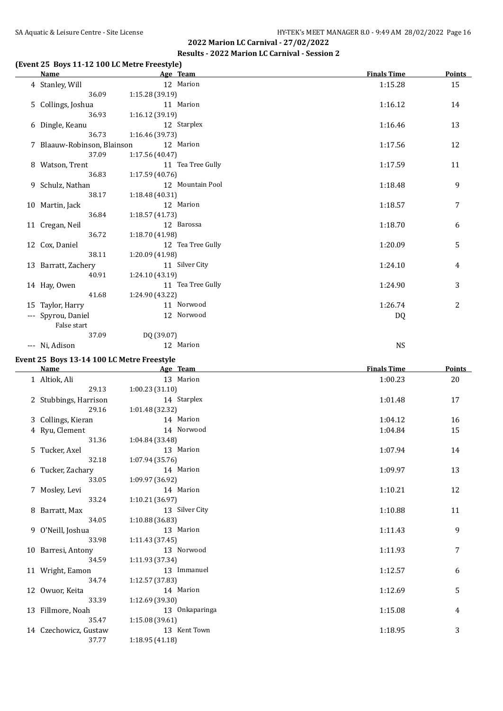#### **(Event 25 Boys 11-12 100 LC Metre Freestyle)**

| <b>Name</b>                 | Age Team          | <b>Finals Time</b> | <b>Points</b> |
|-----------------------------|-------------------|--------------------|---------------|
| 4 Stanley, Will             | 12 Marion         | 1:15.28            | 15            |
| 36.09                       | 1:15.28(39.19)    |                    |               |
| 5 Collings, Joshua          | 11 Marion         | 1:16.12            | 14            |
| 36.93                       | 1:16.12(39.19)    |                    |               |
| 6 Dingle, Keanu             | 12 Starplex       | 1:16.46            | 13            |
| 36.73                       | 1:16.46(39.73)    |                    |               |
| 7 Blaauw-Robinson, Blainson | 12 Marion         | 1:17.56            | 12            |
| 37.09                       | 1:17.56 (40.47)   |                    |               |
| 8 Watson, Trent             | 11 Tea Tree Gully | 1:17.59            | 11            |
| 36.83                       | 1:17.59(40.76)    |                    |               |
| 9 Schulz, Nathan            | 12 Mountain Pool  | 1:18.48            | 9             |
| 38.17                       | 1:18.48(40.31)    |                    |               |
| 10 Martin, Jack             | 12 Marion         | 1:18.57            | 7             |
| 36.84                       | 1:18.57(41.73)    |                    |               |
| 11 Cregan, Neil             | 12 Barossa        | 1:18.70            | 6             |
| 36.72                       | 1:18.70 (41.98)   |                    |               |
| 12 Cox, Daniel              | 12 Tea Tree Gully | 1:20.09            | 5             |
| 38.11                       | 1:20.09 (41.98)   |                    |               |
| 13 Barratt, Zachery         | 11 Silver City    | 1:24.10            | 4             |
| 40.91                       | 1:24.10 (43.19)   |                    |               |
| 14 Hay, Owen                | 11 Tea Tree Gully | 1:24.90            | 3             |
| 41.68                       | 1:24.90 (43.22)   |                    |               |
| 15 Taylor, Harry            | 11 Norwood        | 1:26.74            | 2             |
| --- Spyrou, Daniel          | 12 Norwood        | DQ                 |               |
| False start                 |                   |                    |               |
| 37.09                       | DQ (39.07)        |                    |               |

--- Ni, Adison NS

## **Event 25 Boys 13-14 100 LC Metre Freestyle**

| <b>Name</b>           | Age Team        | <b>Finals Time</b> | <b>Points</b> |
|-----------------------|-----------------|--------------------|---------------|
| 1 Altiok, Ali         | 13 Marion       | 1:00.23            | 20            |
| 29.13                 | 1:00.23(31.10)  |                    |               |
| 2 Stubbings, Harrison | 14 Starplex     | 1:01.48            | 17            |
| 29.16                 | 1:01.48 (32.32) |                    |               |
| 3 Collings, Kieran    | 14 Marion       | 1:04.12            | 16            |
| 4 Ryu, Clement        | 14 Norwood      | 1:04.84            | 15            |
| 31.36                 | 1:04.84 (33.48) |                    |               |
| 5 Tucker, Axel        | 13 Marion       | 1:07.94            | 14            |
| 32.18                 | 1:07.94(35.76)  |                    |               |
| 6 Tucker, Zachary     | 14 Marion       | 1:09.97            | 13            |
| 33.05                 | 1:09.97(36.92)  |                    |               |
| 7 Mosley, Levi        | 14 Marion       | 1:10.21            | 12            |
| 33.24                 | 1:10.21 (36.97) |                    |               |
| 8 Barratt, Max        | 13 Silver City  | 1:10.88            | 11            |
| 34.05                 | 1:10.88(36.83)  |                    |               |
| 9 O'Neill, Joshua     | 13 Marion       | 1:11.43            | 9             |
| 33.98                 | 1:11.43(37.45)  |                    |               |
| 10 Barresi, Antony    | 13 Norwood      | 1:11.93            | 7             |
| 34.59                 | 1:11.93 (37.34) |                    |               |
| 11 Wright, Eamon      | 13 Immanuel     | 1:12.57            | 6             |
| 34.74                 | 1:12.57(37.83)  |                    |               |
| 12 Owuor, Keita       | 14 Marion       | 1:12.69            | 5             |
| 33.39                 | 1:12.69(39.30)  |                    |               |
| 13 Fillmore, Noah     | 13 Onkaparinga  | 1:15.08            | 4             |
| 35.47                 | 1:15.08(39.61)  |                    |               |
| 14 Czechowicz, Gustaw | 13 Kent Town    | 1:18.95            | 3             |
| 37.77                 | 1:18.95(41.18)  |                    |               |